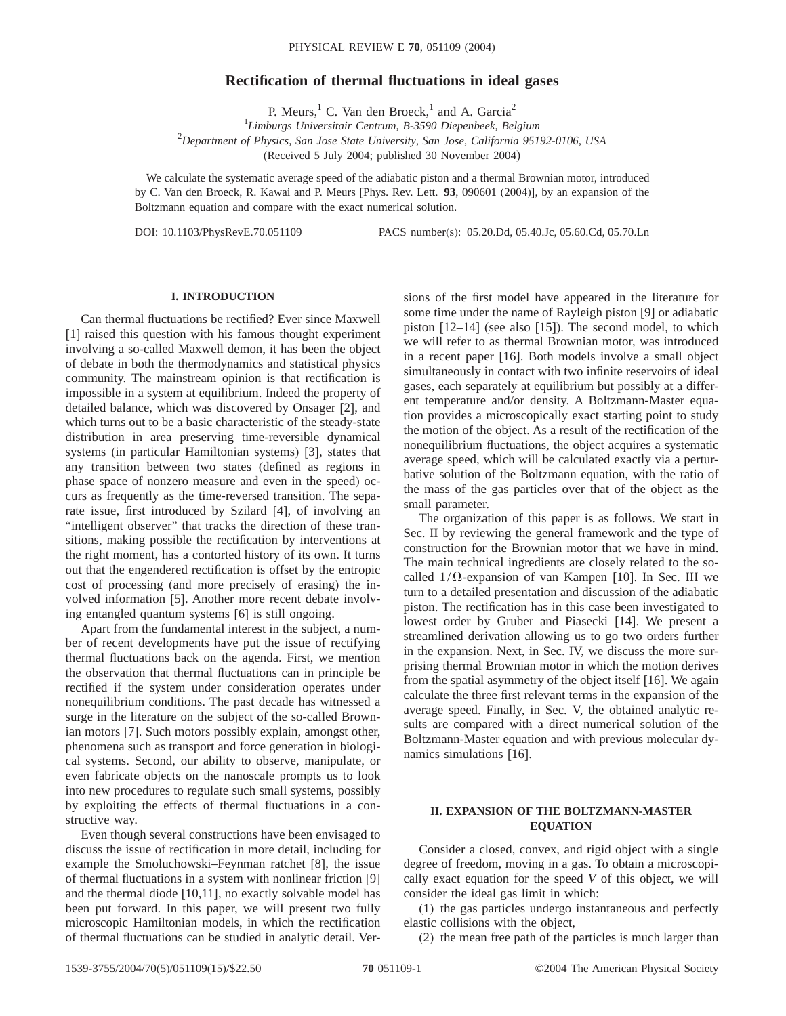## **Rectification of thermal fluctuations in ideal gases**

P. Meurs,<sup>1</sup> C. Van den Broeck,<sup>1</sup> and A. Garcia<sup>2</sup>

1 *Limburgs Universitair Centrum, B-3590 Diepenbeek, Belgium* 2 *Department of Physics, San Jose State University, San Jose, California 95192-0106, USA* (Received 5 July 2004; published 30 November 2004)

We calculate the systematic average speed of the adiabatic piston and a thermal Brownian motor, introduced by C. Van den Broeck, R. Kawai and P. Meurs [Phys. Rev. Lett. **93**, 090601 (2004)], by an expansion of the Boltzmann equation and compare with the exact numerical solution.

DOI: 10.1103/PhysRevE.70.051109 PACS number(s): 05.20.Dd, 05.40.Jc, 05.60.Cd, 05.70.Ln

## **I. INTRODUCTION**

Can thermal fluctuations be rectified? Ever since Maxwell [1] raised this question with his famous thought experiment involving a so-called Maxwell demon, it has been the object of debate in both the thermodynamics and statistical physics community. The mainstream opinion is that rectification is impossible in a system at equilibrium. Indeed the property of detailed balance, which was discovered by Onsager [2], and which turns out to be a basic characteristic of the steady-state distribution in area preserving time-reversible dynamical systems (in particular Hamiltonian systems) [3], states that any transition between two states (defined as regions in phase space of nonzero measure and even in the speed) occurs as frequently as the time-reversed transition. The separate issue, first introduced by Szilard [4], of involving an "intelligent observer" that tracks the direction of these transitions, making possible the rectification by interventions at the right moment, has a contorted history of its own. It turns out that the engendered rectification is offset by the entropic cost of processing (and more precisely of erasing) the involved information [5]. Another more recent debate involving entangled quantum systems [6] is still ongoing.

Apart from the fundamental interest in the subject, a number of recent developments have put the issue of rectifying thermal fluctuations back on the agenda. First, we mention the observation that thermal fluctuations can in principle be rectified if the system under consideration operates under nonequilibrium conditions. The past decade has witnessed a surge in the literature on the subject of the so-called Brownian motors [7]. Such motors possibly explain, amongst other, phenomena such as transport and force generation in biological systems. Second, our ability to observe, manipulate, or even fabricate objects on the nanoscale prompts us to look into new procedures to regulate such small systems, possibly by exploiting the effects of thermal fluctuations in a constructive way.

Even though several constructions have been envisaged to discuss the issue of rectification in more detail, including for example the Smoluchowski–Feynman ratchet [8], the issue of thermal fluctuations in a system with nonlinear friction [9] and the thermal diode [10,11], no exactly solvable model has been put forward. In this paper, we will present two fully microscopic Hamiltonian models, in which the rectification of thermal fluctuations can be studied in analytic detail. Versions of the first model have appeared in the literature for some time under the name of Rayleigh piston [9] or adiabatic piston [12–14] (see also [15]). The second model, to which we will refer to as thermal Brownian motor, was introduced in a recent paper [16]. Both models involve a small object simultaneously in contact with two infinite reservoirs of ideal gases, each separately at equilibrium but possibly at a different temperature and/or density. A Boltzmann-Master equation provides a microscopically exact starting point to study the motion of the object. As a result of the rectification of the nonequilibrium fluctuations, the object acquires a systematic average speed, which will be calculated exactly via a perturbative solution of the Boltzmann equation, with the ratio of the mass of the gas particles over that of the object as the small parameter.

The organization of this paper is as follows. We start in Sec. II by reviewing the general framework and the type of construction for the Brownian motor that we have in mind. The main technical ingredients are closely related to the socalled  $1/\Omega$ -expansion of van Kampen [10]. In Sec. III we turn to a detailed presentation and discussion of the adiabatic piston. The rectification has in this case been investigated to lowest order by Gruber and Piasecki [14]. We present a streamlined derivation allowing us to go two orders further in the expansion. Next, in Sec. IV, we discuss the more surprising thermal Brownian motor in which the motion derives from the spatial asymmetry of the object itself [16]. We again calculate the three first relevant terms in the expansion of the average speed. Finally, in Sec. V, the obtained analytic results are compared with a direct numerical solution of the Boltzmann-Master equation and with previous molecular dynamics simulations [16].

# **II. EXPANSION OF THE BOLTZMANN-MASTER EQUATION**

Consider a closed, convex, and rigid object with a single degree of freedom, moving in a gas. To obtain a microscopically exact equation for the speed *V* of this object, we will consider the ideal gas limit in which:

(1) the gas particles undergo instantaneous and perfectly elastic collisions with the object,

(2) the mean free path of the particles is much larger than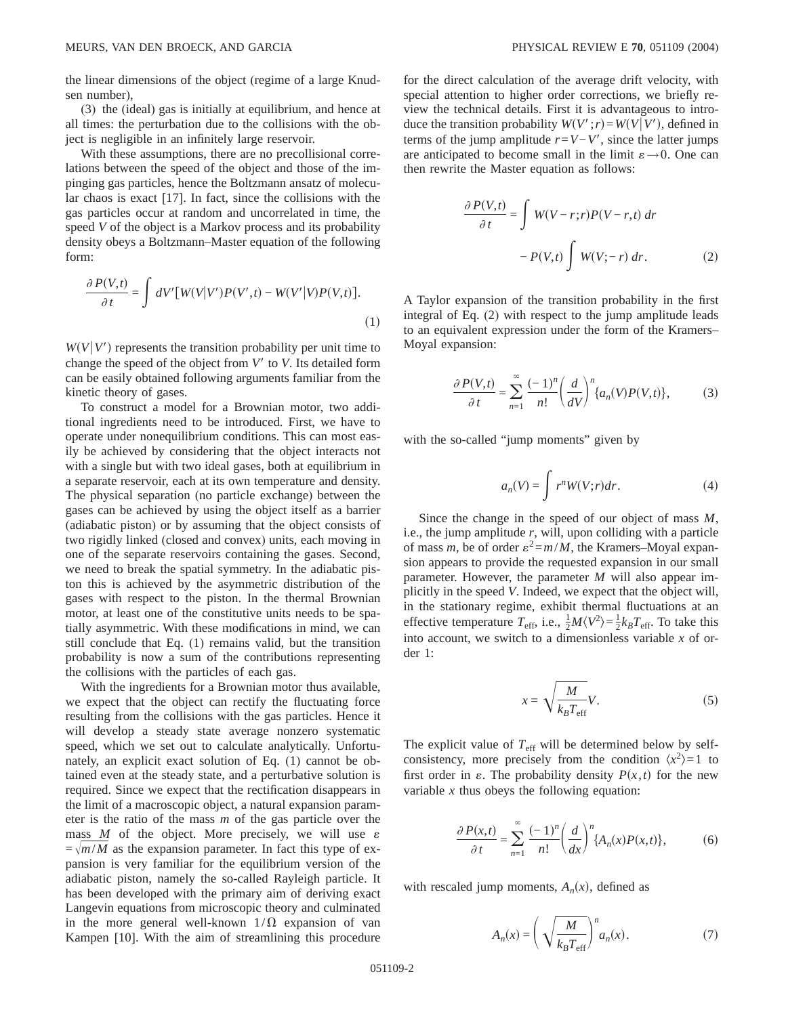the linear dimensions of the object (regime of a large Knudsen number),

(3) the (ideal) gas is initially at equilibrium, and hence at all times: the perturbation due to the collisions with the object is negligible in an infinitely large reservoir.

With these assumptions, there are no precollisional correlations between the speed of the object and those of the impinging gas particles, hence the Boltzmann ansatz of molecular chaos is exact [17]. In fact, since the collisions with the gas particles occur at random and uncorrelated in time, the speed *V* of the object is a Markov process and its probability density obeys a Boltzmann–Master equation of the following form:

$$
\frac{\partial P(V,t)}{\partial t} = \int dV'[W(V|V')P(V',t) - W(V'|V)P(V,t)].
$$
\n(1)

 $W(V|V')$  represents the transition probability per unit time to change the speed of the object from  $V'$  to  $V$ . Its detailed form can be easily obtained following arguments familiar from the kinetic theory of gases.

To construct a model for a Brownian motor, two additional ingredients need to be introduced. First, we have to operate under nonequilibrium conditions. This can most easily be achieved by considering that the object interacts not with a single but with two ideal gases, both at equilibrium in a separate reservoir, each at its own temperature and density. The physical separation (no particle exchange) between the gases can be achieved by using the object itself as a barrier (adiabatic piston) or by assuming that the object consists of two rigidly linked (closed and convex) units, each moving in one of the separate reservoirs containing the gases. Second, we need to break the spatial symmetry. In the adiabatic piston this is achieved by the asymmetric distribution of the gases with respect to the piston. In the thermal Brownian motor, at least one of the constitutive units needs to be spatially asymmetric. With these modifications in mind, we can still conclude that Eq. (1) remains valid, but the transition probability is now a sum of the contributions representing the collisions with the particles of each gas.

With the ingredients for a Brownian motor thus available, we expect that the object can rectify the fluctuating force resulting from the collisions with the gas particles. Hence it will develop a steady state average nonzero systematic speed, which we set out to calculate analytically. Unfortunately, an explicit exact solution of Eq. (1) cannot be obtained even at the steady state, and a perturbative solution is required. Since we expect that the rectification disappears in the limit of a macroscopic object, a natural expansion parameter is the ratio of the mass *m* of the gas particle over the mass  $M$  of the object. More precisely, we will use  $\varepsilon$  $=\sqrt{m/M}$  as the expansion parameter. In fact this type of expansion is very familiar for the equilibrium version of the adiabatic piston, namely the so-called Rayleigh particle. It has been developed with the primary aim of deriving exact Langevin equations from microscopic theory and culminated in the more general well-known  $1/\Omega$  expansion of van Kampen [10]. With the aim of streamlining this procedure for the direct calculation of the average drift velocity, with special attention to higher order corrections, we briefly review the technical details. First it is advantageous to introduce the transition probability  $W(V';r) = W(V|V')$ , defined in terms of the jump amplitude  $r = V - V'$ , since the latter jumps are anticipated to become small in the limit  $\varepsilon \rightarrow 0$ . One can then rewrite the Master equation as follows:

$$
\frac{\partial P(V,t)}{\partial t} = \int W(V-r;r)P(V-r,t) dr
$$

$$
- P(V,t) \int W(V;-r) dr.
$$
 (2)

A Taylor expansion of the transition probability in the first integral of Eq. (2) with respect to the jump amplitude leads to an equivalent expression under the form of the Kramers– Moyal expansion:

$$
\frac{\partial P(V,t)}{\partial t} = \sum_{n=1}^{\infty} \frac{(-1)^n}{n!} \left(\frac{d}{dV}\right)^n \{a_n(V)P(V,t)\},\tag{3}
$$

with the so-called "jump moments" given by

$$
a_n(V) = \int r^n W(V; r) dr.
$$
 (4)

Since the change in the speed of our object of mass *M*, i.e., the jump amplitude *r*, will, upon colliding with a particle of mass *m*, be of order  $\varepsilon^2 = m/M$ , the Kramers–Moyal expansion appears to provide the requested expansion in our small parameter. However, the parameter *M* will also appear implicitly in the speed *V*. Indeed, we expect that the object will, in the stationary regime, exhibit thermal fluctuations at an effective temperature  $T_{\text{eff}}$ , i.e.,  $\frac{1}{2}M\langle V^2 \rangle = \frac{1}{2}k_B T_{\text{eff}}$ . To take this into account, we switch to a dimensionless variable *x* of order 1:

$$
x = \sqrt{\frac{M}{k_B T_{\text{eff}}}} V.
$$
 (5)

The explicit value of  $T_{\text{eff}}$  will be determined below by selfconsistency, more precisely from the condition  $\langle x^2 \rangle = 1$  to first order in  $\varepsilon$ . The probability density  $P(x, t)$  for the new variable *x* thus obeys the following equation:

$$
\frac{\partial P(x,t)}{\partial t} = \sum_{n=1}^{\infty} \frac{(-1)^n}{n!} \left(\frac{d}{dx}\right)^n \{A_n(x)P(x,t)\},\tag{6}
$$

with rescaled jump moments,  $A_n(x)$ , defined as

$$
A_n(x) = \left(\sqrt{\frac{M}{k_B T_{\text{eff}}}}\right)^n a_n(x). \tag{7}
$$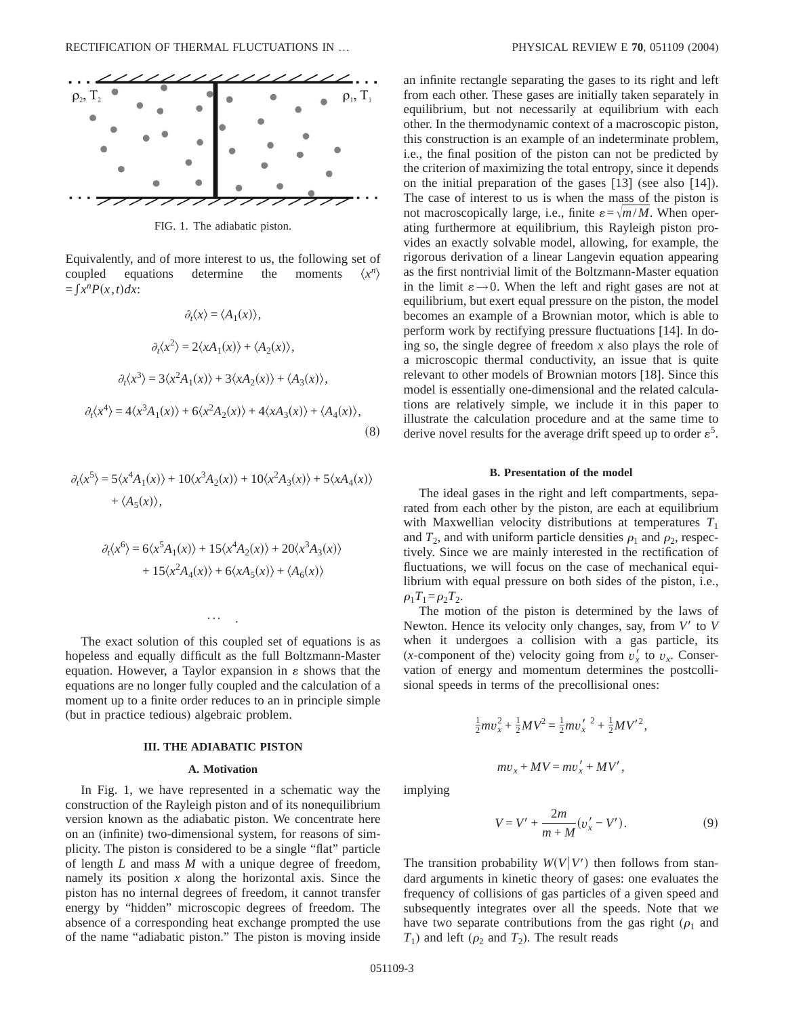

FIG. 1. The adiabatic piston.

Equivalently, and of more interest to us, the following set of coupled equations determine the moments  $\langle x^n \rangle$  $=\int x^n P(x,t) dx$ 

$$
\partial_t \langle x \rangle = \langle A_1(x) \rangle,
$$
  
\n
$$
\partial_t \langle x^2 \rangle = 2 \langle x A_1(x) \rangle + \langle A_2(x) \rangle,
$$
  
\n
$$
\partial_t \langle x^3 \rangle = 3 \langle x^2 A_1(x) \rangle + 3 \langle x A_2(x) \rangle + \langle A_3(x) \rangle,
$$
  
\n
$$
\partial_t \langle x^4 \rangle = 4 \langle x^3 A_1(x) \rangle + 6 \langle x^2 A_2(x) \rangle + 4 \langle x A_3(x) \rangle + \langle A_4(x) \rangle,
$$
\n(8)

$$
\partial_t \langle x^5 \rangle = 5 \langle x^4 A_1(x) \rangle + 10 \langle x^3 A_2(x) \rangle + 10 \langle x^2 A_3(x) \rangle + 5 \langle x A_4(x) \rangle
$$
  
+  $\langle A_5(x) \rangle$ ,

$$
\partial_t \langle x^6 \rangle = 6 \langle x^5 A_1(x) \rangle + 15 \langle x^4 A_2(x) \rangle + 20 \langle x^3 A_3(x) \rangle
$$
  
+ 15 \langle x^2 A\_4(x) \rangle + 6 \langle x A\_5(x) \rangle + \langle A\_6(x) \rangle

. . .

The exact solution of this coupled set of equations is as hopeless and equally difficult as the full Boltzmann-Master equation. However, a Taylor expansion in  $\varepsilon$  shows that the equations are no longer fully coupled and the calculation of a moment up to a finite order reduces to an in principle simple (but in practice tedious) algebraic problem.

## **III. THE ADIABATIC PISTON**

### **A. Motivation**

In Fig. 1, we have represented in a schematic way the construction of the Rayleigh piston and of its nonequilibrium version known as the adiabatic piston. We concentrate here on an (infinite) two-dimensional system, for reasons of simplicity. The piston is considered to be a single "flat" particle of length *L* and mass *M* with a unique degree of freedom, namely its position *x* along the horizontal axis. Since the piston has no internal degrees of freedom, it cannot transfer energy by "hidden" microscopic degrees of freedom. The absence of a corresponding heat exchange prompted the use of the name "adiabatic piston." The piston is moving inside an infinite rectangle separating the gases to its right and left from each other. These gases are initially taken separately in equilibrium, but not necessarily at equilibrium with each other. In the thermodynamic context of a macroscopic piston, this construction is an example of an indeterminate problem, i.e., the final position of the piston can not be predicted by the criterion of maximizing the total entropy, since it depends on the initial preparation of the gases [13] (see also [14]). The case of interest to us is when the mass of the piston is not macroscopically large, i.e., finite  $\varepsilon = \sqrt{m/M}$ . When operating furthermore at equilibrium, this Rayleigh piston provides an exactly solvable model, allowing, for example, the rigorous derivation of a linear Langevin equation appearing as the first nontrivial limit of the Boltzmann-Master equation in the limit  $\varepsilon \rightarrow 0$ . When the left and right gases are not at equilibrium, but exert equal pressure on the piston, the model becomes an example of a Brownian motor, which is able to perform work by rectifying pressure fluctuations [14]. In doing so, the single degree of freedom *x* also plays the role of a microscopic thermal conductivity, an issue that is quite relevant to other models of Brownian motors [18]. Since this model is essentially one-dimensional and the related calculations are relatively simple, we include it in this paper to illustrate the calculation procedure and at the same time to derive novel results for the average drift speed up to order  $\varepsilon^5$ .

## **B. Presentation of the model**

The ideal gases in the right and left compartments, separated from each other by the piston, are each at equilibrium with Maxwellian velocity distributions at temperatures  $T_1$ and  $T_2$ , and with uniform particle densities  $\rho_1$  and  $\rho_2$ , respectively. Since we are mainly interested in the rectification of fluctuations, we will focus on the case of mechanical equilibrium with equal pressure on both sides of the piston, i.e.,  $\rho_1 T_1 = \rho_2 T_2$ .

The motion of the piston is determined by the laws of Newton. Hence its velocity only changes, say, from V' to V when it undergoes a collision with a gas particle, its (*x*-component of the) velocity going from  $v'_x$  to  $v_x$ . Conservation of energy and momentum determines the postcollisional speeds in terms of the precollisional ones:

$$
\frac{1}{2}mv_x^2 + \frac{1}{2}MV^2 = \frac{1}{2}mv_x'^2 + \frac{1}{2}MV'^2,
$$
  

$$
mv_x + MV = mv_x' + MV',
$$

implying

$$
V = V' + \frac{2m}{m+M}(v'_x - V').
$$
 (9)

The transition probability  $W(V|V')$  then follows from standard arguments in kinetic theory of gases: one evaluates the frequency of collisions of gas particles of a given speed and subsequently integrates over all the speeds. Note that we have two separate contributions from the gas right ( $\rho_1$  and  $T_1$ ) and left ( $\rho_2$  and  $T_2$ ). The result reads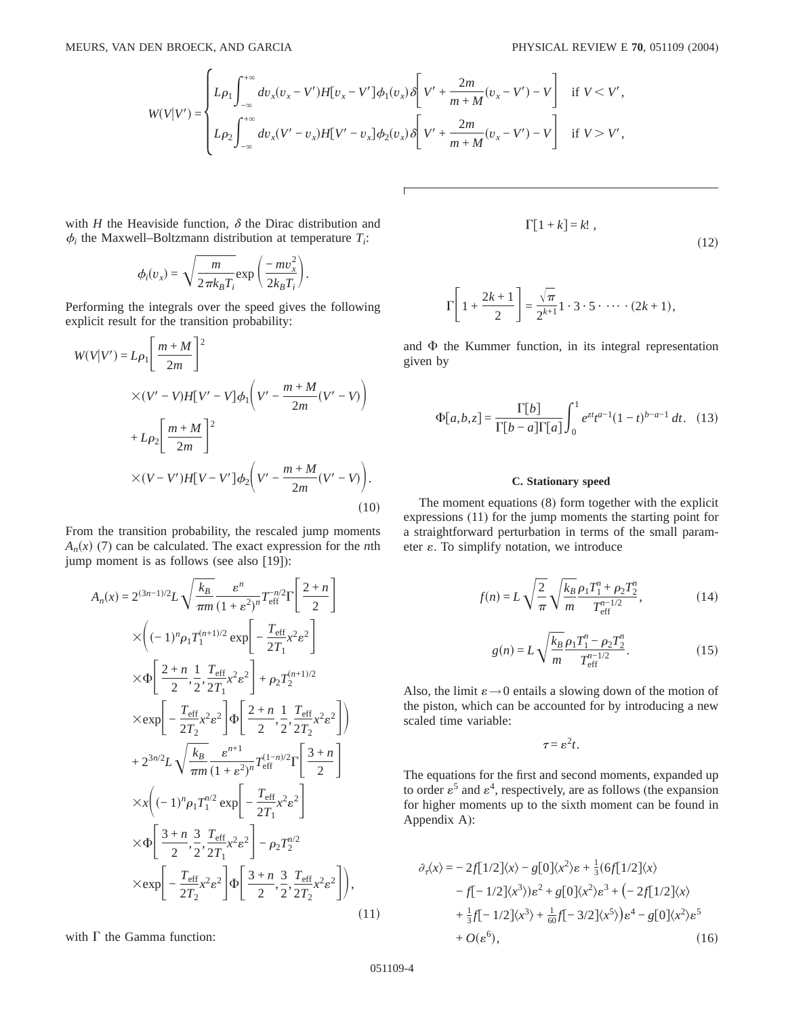$$
W(V|V') = \begin{cases} L\rho_1 \int_{-\infty}^{+\infty} dv_x (v_x - V') H[v_x - V'] \phi_1(v_x) \delta \left[ V' + \frac{2m}{m+M} (v_x - V') - V \right] & \text{if } V < V', \\ L\rho_2 \int_{-\infty}^{+\infty} dv_x (V' - v_x) H[V' - v_x] \phi_2(v_x) \delta \left[ V' + \frac{2m}{m+M} (v_x - V') - V \right] & \text{if } V > V', \end{cases}
$$

with *H* the Heaviside function,  $\delta$  the Dirac distribution and  $\phi_i$  the Maxwell–Boltzmann distribution at temperature  $T_i$ :

$$
\phi_i(v_x) = \sqrt{\frac{m}{2\pi k_B T_i}} \exp\left(\frac{-mv_x^2}{2k_B T_i}\right).
$$

Performing the integrals over the speed gives the following explicit result for the transition probability:

$$
W(V|V') = L\rho_1 \left[ \frac{m+M}{2m} \right]^2
$$
  
×(V'-V)H[V'-V] $\phi_1 \left( V' - \frac{m+M}{2m}(V'-V) \right)$   
+ $L\rho_2 \left[ \frac{m+M}{2m} \right]^2$   
×(V-V')H[V-V'] $\phi_2 \left( V' - \frac{m+M}{2m}(V'-V) \right)$ . (10)

From the transition probability, the rescaled jump moments  $A_n(x)$  (7) can be calculated. The exact expression for the *n*th jump moment is as follows (see also [19]):

$$
A_n(x) = 2^{(3n-1)/2}L \sqrt{\frac{k_B}{\pi m}} \frac{\varepsilon^n}{(1+\varepsilon^2)^n} T_{\text{eff}}^{-n/2} \Gamma \left[ \frac{2+n}{2} \right]
$$
  
\n
$$
\times \left( (-1)^n \rho_1 T_1^{(n+1)/2} \exp \left[ -\frac{T_{\text{eff}}}{2T_1} x^2 \varepsilon^2 \right] + O_2 T_2^{(n+1)/2}
$$
  
\n
$$
\times \Phi \left[ \frac{2+n}{2}, \frac{1}{2}, \frac{T_{\text{eff}}}{2T_1} x^2 \varepsilon^2 \right] + \rho_2 T_2^{(n+1)/2}
$$
  
\n
$$
\times \exp \left[ -\frac{T_{\text{eff}}}{2T_2} x^2 \varepsilon^2 \right] \Phi \left[ \frac{2+n}{2}, \frac{1}{2}, \frac{T_{\text{eff}}}{2T_2} x^2 \varepsilon^2 \right] \right)
$$
  
\n
$$
+ 2^{3n/2}L \sqrt{\frac{k_B}{\pi m}} \frac{\varepsilon^{n+1}}{(1+\varepsilon^2)^n} T_{\text{eff}}^{(1-n)/2} \Gamma \left[ \frac{3+n}{2} \right]
$$
  
\n
$$
\times x \left( (-1)^n \rho_1 T_1^{n/2} \exp \left[ -\frac{T_{\text{eff}}}{2T_1} x^2 \varepsilon^2 \right] - \rho_2 T_2^{n/2}
$$
  
\n
$$
\times \Phi \left[ \frac{3+n}{2}, \frac{3}{2}, \frac{T_{\text{eff}}}{2T_1} x^2 \varepsilon^2 \right] - \rho_2 T_2^{n/2}
$$
  
\n
$$
\times \exp \left[ -\frac{T_{\text{eff}}}{2T_2} x^2 \varepsilon^2 \right] \Phi \left[ \frac{3+n}{2}, \frac{3}{2}, \frac{T_{\text{eff}}}{2T_2} x^2 \varepsilon^2 \right], \qquad (11)
$$

with  $\Gamma$  the Gamma function:

$$
\Gamma[1+k] = k!, \qquad (12)
$$

$$
\Gamma\left[1+\frac{2k+1}{2}\right]=\frac{\sqrt{\pi}}{2^{k+1}}1\cdot 3\cdot 5\cdot \cdots \cdot (2k+1),
$$

and  $\Phi$  the Kummer function, in its integral representation given by

$$
\Phi[a,b,z] = \frac{\Gamma[b]}{\Gamma[b-a]\Gamma[a]} \int_0^1 e^{zt} t^{a-1} (1-t)^{b-a-1} dt. \quad (13)
$$

## **C. Stationary speed**

The moment equations (8) form together with the explicit expressions (11) for the jump moments the starting point for a straightforward perturbation in terms of the small parameter  $\varepsilon$ . To simplify notation, we introduce

$$
f(n) = L\sqrt{\frac{2}{\pi}}\sqrt{\frac{k_B}{m}}\frac{\rho_1 T_1^n + \rho_2 T_2^n}{T_{\text{eff}}^{n-1/2}},
$$
\n(14)

$$
g(n) = L \sqrt{\frac{k_B}{m}} \frac{\rho_1 T_1^n - \rho_2 T_2^n}{T_{\text{eff}}^{n-1/2}}.
$$
 (15)

Also, the limit  $\varepsilon \to 0$  entails a slowing down of the motion of the piston, which can be accounted for by introducing a new scaled time variable:

 $\tau = \varepsilon^2 t$ .

The equations for the first and second moments, expanded up to order  $\varepsilon^5$  and  $\varepsilon^4$ , respectively, are as follows (the expansion for higher moments up to the sixth moment can be found in Appendix A):

$$
\partial_{\tau}\langle x \rangle = -2f[1/2]\langle x \rangle - g[0]\langle x^2 \rangle \varepsilon + \frac{1}{3}(6f[1/2]\langle x \rangle \n-f[-1/2]\langle x^3 \rangle) \varepsilon^2 + g[0]\langle x^2 \rangle \varepsilon^3 + (-2f[1/2]\langle x \rangle \n+ \frac{1}{3}f[-1/2]\langle x^3 \rangle + \frac{1}{60}f[-3/2]\langle x^5 \rangle) \varepsilon^4 - g[0]\langle x^2 \rangle \varepsilon^5 \n+ O(\varepsilon^6),
$$
\n(16)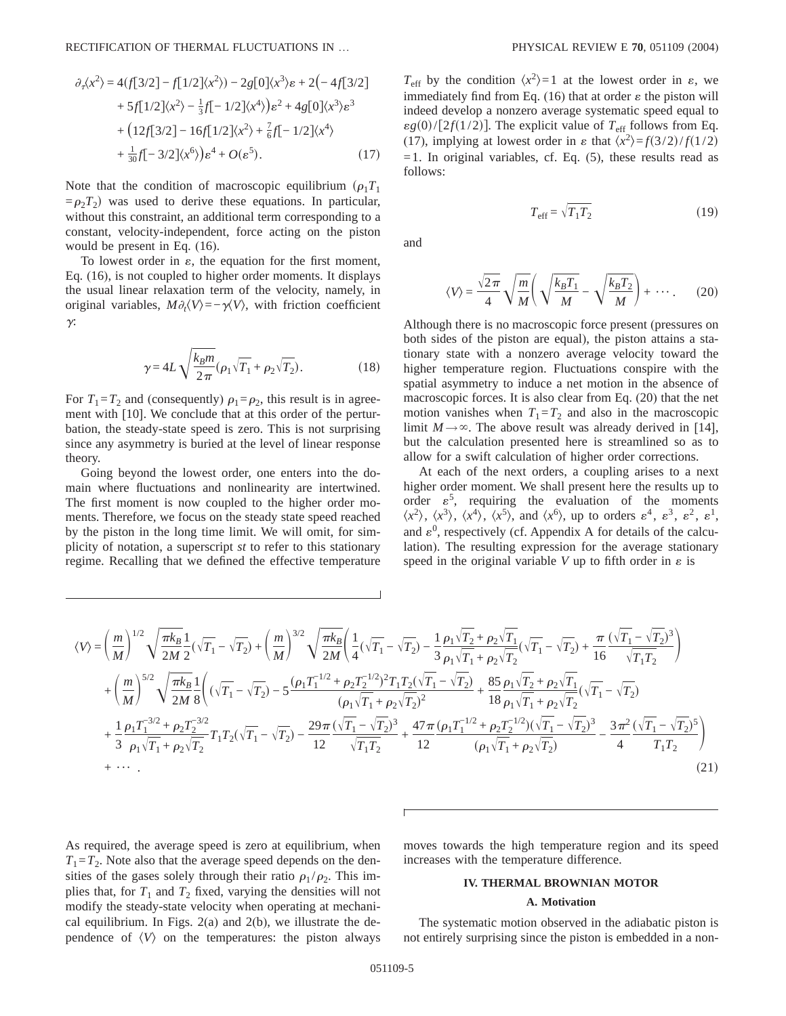$$
\partial_{\tau}\langle x^{2}\rangle = 4(f[3/2] - f[1/2]\langle x^{2}\rangle) - 2g[0]\langle x^{3}\rangle \varepsilon + 2(-4f[3/2] \n+ 5f[1/2]\langle x^{2}\rangle - \frac{1}{3}f[-1/2]\langle x^{4}\rangle \varepsilon^{2} + 4g[0]\langle x^{3}\rangle \varepsilon^{3} \n+ (12f[3/2] - 16f[1/2]\langle x^{2}\rangle + \frac{7}{6}f[-1/2]\langle x^{4}\rangle \n+ \frac{1}{30}f[-3/2]\langle x^{6}\rangle \varepsilon^{4} + O(\varepsilon^{5}).
$$
\n(17)

Note that the condition of macroscopic equilibrium  $(\rho_1 T_1)$  $= \rho_2 T_2$  was used to derive these equations. In particular, without this constraint, an additional term corresponding to a constant, velocity-independent, force acting on the piston would be present in Eq. (16).

To lowest order in  $\varepsilon$ , the equation for the first moment, Eq. (16), is not coupled to higher order moments. It displays the usual linear relaxation term of the velocity, namely, in original variables,  $M \partial_t \langle V \rangle = -\gamma \langle V \rangle$ , with friction coefficient  $\gamma$ :

$$
\gamma = 4L \sqrt{\frac{k_B m}{2\pi}} (\rho_1 \sqrt{T_1} + \rho_2 \sqrt{T_2}).
$$
 (18)

For  $T_1 = T_2$  and (consequently)  $\rho_1 = \rho_2$ , this result is in agreement with [10]. We conclude that at this order of the perturbation, the steady-state speed is zero. This is not surprising since any asymmetry is buried at the level of linear response theory.

Going beyond the lowest order, one enters into the domain where fluctuations and nonlinearity are intertwined. The first moment is now coupled to the higher order moments. Therefore, we focus on the steady state speed reached by the piston in the long time limit. We will omit, for simplicity of notation, a superscript *st* to refer to this stationary regime. Recalling that we defined the effective temperature

 $T_{\text{eff}}$  by the condition  $\langle x^2 \rangle = 1$  at the lowest order in  $\varepsilon$ , we immediately find from Eq.  $(16)$  that at order  $\varepsilon$  the piston will indeed develop a nonzero average systematic speed equal to  $\epsilon g(0)/[2f(1/2)]$ . The explicit value of  $T_{\text{eff}}$  follows from Eq. (17), implying at lowest order in  $\varepsilon$  that  $\langle x^2 \rangle = f(3/2)/f(1/2)$  $=1$ . In original variables, cf. Eq. (5), these results read as follows:

$$
T_{\text{eff}} = \sqrt{T_1 T_2} \tag{19}
$$

and

$$
\langle V \rangle = \frac{\sqrt{2\pi}}{4} \sqrt{\frac{m}{M}} \left( \sqrt{\frac{k_B T_1}{M}} - \sqrt{\frac{k_B T_2}{M}} \right) + \cdots. \tag{20}
$$

Although there is no macroscopic force present (pressures on both sides of the piston are equal), the piston attains a stationary state with a nonzero average velocity toward the higher temperature region. Fluctuations conspire with the spatial asymmetry to induce a net motion in the absence of macroscopic forces. It is also clear from Eq. (20) that the net motion vanishes when  $T_1 = T_2$  and also in the macroscopic limit  $M \rightarrow \infty$ . The above result was already derived in [14], but the calculation presented here is streamlined so as to allow for a swift calculation of higher order corrections.

At each of the next orders, a coupling arises to a next higher order moment. We shall present here the results up to order  $\varepsilon^5$ , requiring the evaluation of the moments  $\langle x^2 \rangle$ ,  $\langle x^3 \rangle$ ,  $\langle x^4 \rangle$ ,  $\langle x^5 \rangle$ , and  $\langle x^6 \rangle$ , up to orders  $\varepsilon^4$ ,  $\varepsilon^3$ ,  $\varepsilon^2$ ,  $\varepsilon^1$ , and  $\varepsilon^0$ , respectively (cf. Appendix A for details of the calculation). The resulting expression for the average stationary speed in the original variable  $V$  up to fifth order in  $\varepsilon$  is

$$
\langle V \rangle = \left(\frac{m}{M}\right)^{1/2} \sqrt{\frac{\pi k_B}{2M}} \frac{1}{2} (\sqrt{T_1} - \sqrt{T_2}) + \left(\frac{m}{M}\right)^{3/2} \sqrt{\frac{\pi k_B}{2M}} \left(\frac{1}{4} (\sqrt{T_1} - \sqrt{T_2}) - \frac{1}{3} \frac{\rho_1 \sqrt{T_2} + \rho_2 \sqrt{T_1}}{\rho_1 \sqrt{T_1} + \rho_2 \sqrt{T_2}} (\sqrt{T_1} - \sqrt{T_2}) + \frac{\pi}{16} \frac{(\sqrt{T_1} - \sqrt{T_2})^3}{\sqrt{T_1 T_2}}\right)
$$
  
+ 
$$
\left(\frac{m}{M}\right)^{5/2} \sqrt{\frac{\pi k_B}{2M}} \frac{1}{8} \left((\sqrt{T_1} - \sqrt{T_2}) - 5 \frac{(\rho_1 T_1^{1/2} + \rho_2 T_2^{1/2})^2 T_1 T_2 (\sqrt{T_1} - \sqrt{T_2})}{(\rho_1 \sqrt{T_1} + \rho_2 \sqrt{T_2})^2} + \frac{85}{18} \frac{\rho_1 \sqrt{T_2} + \rho_2 \sqrt{T_1}}{\rho_1 \sqrt{T_1} + \rho_2 \sqrt{T_2}} (\sqrt{T_1} - \sqrt{T_2})
$$
  
+ 
$$
\frac{1}{3} \frac{\rho_1 T_1^{3/2} + \rho_2 T_2^{3/2}}{\rho_1 \sqrt{T_1} + \rho_2 \sqrt{T_2}} T_1 T_2 (\sqrt{T_1} - \sqrt{T_2}) - \frac{29 \pi}{12} \frac{(\sqrt{T_1} - \sqrt{T_2})^3}{\sqrt{T_1 T_2}} + \frac{47 \pi}{12} \frac{(\rho_1 T_1^{1/2} + \rho_2 T_2^{1/2})(\sqrt{T_1} - \sqrt{T_2})^3}{(\rho_1 \sqrt{T_1} + \rho_2 \sqrt{T_2})} - \frac{3 \pi^2}{4} \frac{(\sqrt{T_1} - \sqrt{T_2})^5}{T_1 T_2}\right)
$$
  
+ 
$$
\cdots
$$
 (21)

As required, the average speed is zero at equilibrium, when  $T_1 = T_2$ . Note also that the average speed depends on the densities of the gases solely through their ratio  $\rho_1 / \rho_2$ . This implies that, for  $T_1$  and  $T_2$  fixed, varying the densities will not modify the steady-state velocity when operating at mechanical equilibrium. In Figs.  $2(a)$  and  $2(b)$ , we illustrate the dependence of  $\langle V \rangle$  on the temperatures: the piston always moves towards the high temperature region and its speed increases with the temperature difference.

## **IV. THERMAL BROWNIAN MOTOR**

#### **A. Motivation**

The systematic motion observed in the adiabatic piston is not entirely surprising since the piston is embedded in a non-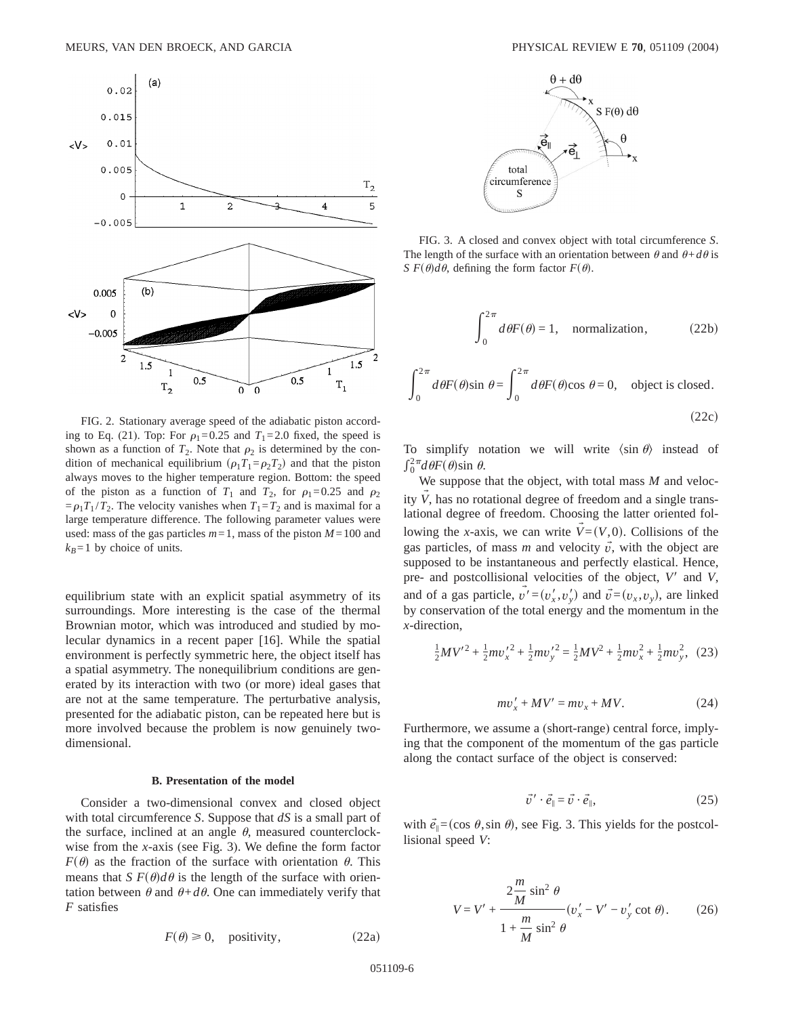

FIG. 2. Stationary average speed of the adiabatic piston according to Eq. (21). Top: For  $\rho_1=0.25$  and  $T_1=2.0$  fixed, the speed is shown as a function of  $T_2$ . Note that  $\rho_2$  is determined by the condition of mechanical equilibrium  $(\rho_1 T_1 = \rho_2 T_2)$  and that the piston always moves to the higher temperature region. Bottom: the speed of the piston as a function of  $T_1$  and  $T_2$ , for  $\rho_1=0.25$  and  $\rho_2$  $= \rho_1 T_1 / T_2$ . The velocity vanishes when  $T_1 = T_2$  and is maximal for a large temperature difference. The following parameter values were used: mass of the gas particles  $m=1$ , mass of the piston  $M=100$  and  $k_B$ =1 by choice of units.

equilibrium state with an explicit spatial asymmetry of its surroundings. More interesting is the case of the thermal Brownian motor, which was introduced and studied by molecular dynamics in a recent paper [16]. While the spatial environment is perfectly symmetric here, the object itself has a spatial asymmetry. The nonequilibrium conditions are generated by its interaction with two (or more) ideal gases that are not at the same temperature. The perturbative analysis, presented for the adiabatic piston, can be repeated here but is more involved because the problem is now genuinely twodimensional.

#### **B. Presentation of the model**

Consider a two-dimensional convex and closed object with total circumference *S*. Suppose that *dS* is a small part of the surface, inclined at an angle  $\theta$ , measured counterclockwise from the *x*-axis (see Fig. 3). We define the form factor  $F(\theta)$  as the fraction of the surface with orientation  $\theta$ . This means that *S F* $(\theta)d\theta$  is the length of the surface with orientation between  $\theta$  and  $\theta + d\theta$ . One can immediately verify that *F* satisfies

$$
F(\theta) \ge 0, \quad \text{positivity}, \tag{22a}
$$



FIG. 3. A closed and convex object with total circumference *S*. The length of the surface with an orientation between  $\theta$  and  $\theta + d\theta$  is *S F* $(\theta)d\theta$ , defining the form factor *F* $(\theta)$ .

$$
\int_0^{2\pi} d\theta F(\theta) = 1, \quad \text{normalization}, \tag{22b}
$$

$$
\int_0^{2\pi} d\theta F(\theta) \sin \theta = \int_0^{2\pi} d\theta F(\theta) \cos \theta = 0, \text{ object is closed.}
$$
\n(22c)

To simplify notation we will write  $\langle \sin \theta \rangle$  instead of  $\int_0^{2\pi} d\theta F(\theta) \sin \theta$ .

We suppose that the object, with total mass *M* and velocity *V* , has no rotational degree of freedom and a single trans- $\rightarrow$ lational degree of freedom. Choosing the latter oriented following the *x*-axis, we can write  $\vec{V} = (V,0)$ . Collisions of the gas particles, of mass *m* and velocity  $\vec{v}$ , with the object are supposed to be instantaneous and perfectly elastical. Hence, pre- and postcollisional velocities of the object, V' and V, and of a gas particle,  $\vec{v'} = (v'_x, v'_y)$  and  $\vec{v} = (v_x, v_y)$ , are linked by conservation of the total energy and the momentum in the *x*-direction,

$$
\frac{1}{2}MV'^2 + \frac{1}{2}mv_x'^2 + \frac{1}{2}mv_y'^2 = \frac{1}{2}MV^2 + \frac{1}{2}mv_x^2 + \frac{1}{2}mv_y^2, (23)
$$

$$
mv_x' + MV' = mv_x + MV.
$$
 (24)

Furthermore, we assume a (short-range) central force, implying that the component of the momentum of the gas particle along the contact surface of the object is conserved:

$$
\vec{v}' \cdot \vec{e}_{\parallel} = \vec{v} \cdot \vec{e}_{\parallel},\tag{25}
$$

with  $\vec{e}_{\parallel} = (\cos \theta, \sin \theta)$ , see Fig. 3. This yields for the postcollisional speed *V*:

$$
V = V' + \frac{2\frac{m}{M}\sin^2\theta}{1 + \frac{m}{M}\sin^2\theta} (v'_x - V' - v'_y \cot\theta). \tag{26}
$$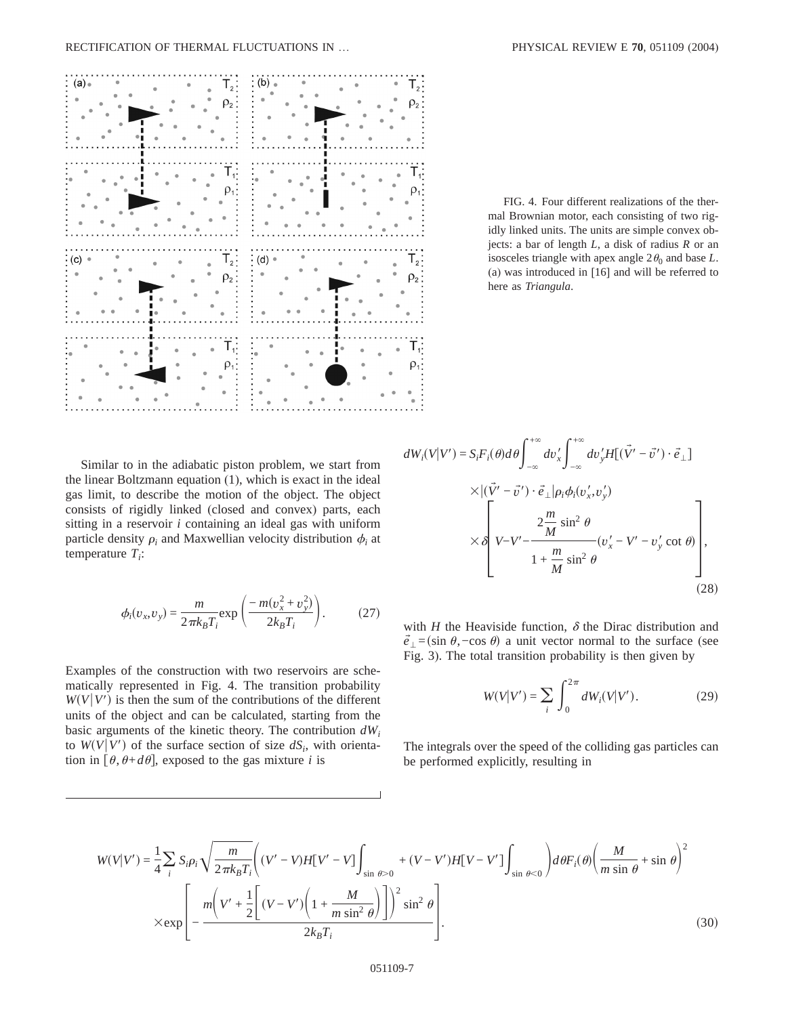

FIG. 4. Four different realizations of the thermal Brownian motor, each consisting of two rigidly linked units. The units are simple convex objects: a bar of length *L*, a disk of radius *R* or an isosceles triangle with apex angle  $2\theta_0$  and base *L*. (a) was introduced in [16] and will be referred to here as *Triangula*.

Similar to in the adiabatic piston problem, we start from the linear Boltzmann equation (1), which is exact in the ideal gas limit, to describe the motion of the object. The object consists of rigidly linked (closed and convex) parts, each sitting in a reservoir *i* containing an ideal gas with uniform particle density  $\rho_i$  and Maxwellian velocity distribution  $\phi_i$  at temperature *Ti* :

$$
\phi_i(v_x, v_y) = \frac{m}{2\pi k_B T_i} \exp\left(\frac{-m(v_x^2 + v_y^2)}{2k_B T_i}\right).
$$
 (27)

Examples of the construction with two reservoirs are schematically represented in Fig. 4. The transition probability  $W(V|V')$  is then the sum of the contributions of the different units of the object and can be calculated, starting from the basic arguments of the kinetic theory. The contribution *dWi* to  $W(V|V')$  of the surface section of size  $dS_i$ , with orientation in  $[\theta, \theta + d\theta]$ , exposed to the gas mixture *i* is

$$
dW_i(V|V') = S_iF_i(\theta)d\theta \int_{-\infty}^{+\infty} dv'_x \int_{-\infty}^{+\infty} dv'_y H[(\vec{V'} - \vec{v'}) \cdot \vec{e}_\perp]
$$
  
 
$$
\times |(\vec{V'} - \vec{v'}) \cdot \vec{e}_\perp| \rho_i \phi_i(v'_x, v'_y)
$$
  
 
$$
\times \delta \left[ V - V' - \frac{2\frac{m}{M}\sin^2\theta}{1 + \frac{m}{M}\sin^2\theta} (v'_x - V' - v'_y \cot\theta) \right],
$$
 (28)

with  $H$  the Heaviside function,  $\delta$  the Dirac distribution and  $\vec{e}_\perp$ =(sin  $\theta$ ,−cos  $\theta$ ) a unit vector normal to the surface (see Fig. 3). The total transition probability is then given by

$$
W(V|V') = \sum_{i} \int_{0}^{2\pi} dW_{i}(V|V').
$$
 (29)

The integrals over the speed of the colliding gas particles can be performed explicitly, resulting in

$$
W(V|V') = \frac{1}{4} \sum_{i} S_{i} \rho_{i} \sqrt{\frac{m}{2 \pi k_{B} T_{i}}} \left( (V' - V)H[V' - V] \int_{\sin \theta > 0} + (V - V')H[V - V'] \int_{\sin \theta < 0} \right) d\theta F_{i}(\theta) \left( \frac{M}{m \sin \theta} + \sin \theta \right)^{2}
$$
  

$$
\times \exp \left[ -\frac{m \left( V' + \frac{1}{2} \left[ (V - V') \left( 1 + \frac{M}{m \sin^{2} \theta} \right) \right] \right)^{2} \sin^{2} \theta}{2k_{B} T_{i}} \right].
$$
 (30)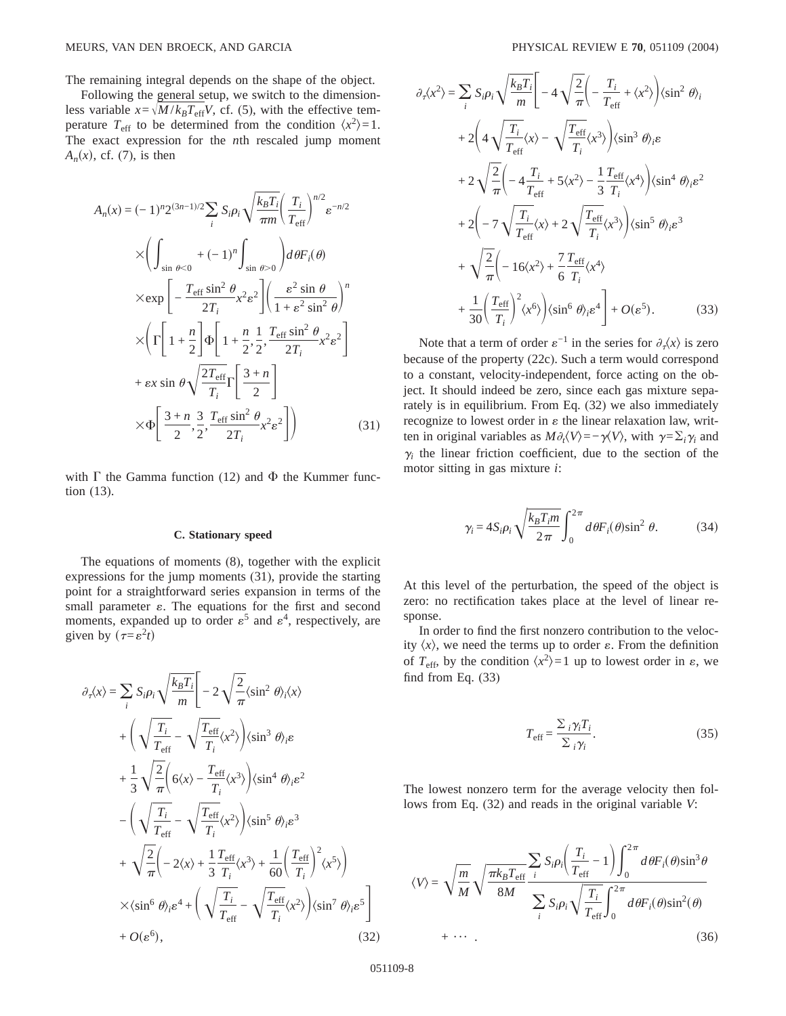The remaining integral depends on the shape of the object.

Following the general setup, we switch to the dimensionless variable  $x = \sqrt{M/k_B T_{\text{eff}}}V$ , cf. (5), with the effective temperature  $T_{\text{eff}}$  to be determined from the condition  $\langle x^2 \rangle = 1$ . The exact expression for the *n*th rescaled jump moment  $A_n(x)$ , cf. (7), is then

$$
A_n(x) = (-1)^n 2^{(3n-1)/2} \sum_i S_i \rho_i \sqrt{\frac{k_B T_i}{\pi m}} \left(\frac{T_i}{T_{\text{eff}}}\right)^{n/2} \varepsilon^{-n/2}
$$
  
\n
$$
\times \left(\int_{\sin \theta < 0} + (-1)^n \int_{\sin \theta > 0} \right) d\theta F_i(\theta)
$$
  
\n
$$
\times \exp \left[ -\frac{T_{\text{eff}} \sin^2 \theta}{2T_i} x^2 \varepsilon^2 \right] \left(\frac{\varepsilon^2 \sin \theta}{1 + \varepsilon^2 \sin^2 \theta}\right)^n
$$
  
\n
$$
\times \left(\Gamma \left[1 + \frac{n}{2}\right] \Phi \left[1 + \frac{n}{2}, \frac{1}{2}, \frac{T_{\text{eff}} \sin^2 \theta}{2T_i} x^2 \varepsilon^2 \right] + \varepsilon x \sin \theta \sqrt{\frac{2T_{\text{eff}}}{T_i}} \Gamma \left[\frac{3 + n}{2}\right]
$$
  
\n
$$
\times \Phi \left[\frac{3 + n}{2}, \frac{3}{2}, \frac{T_{\text{eff}} \sin^2 \theta}{2T_i} x^2 \varepsilon^2 \right] \right) \tag{31}
$$

with  $\Gamma$  the Gamma function (12) and  $\Phi$  the Kummer function (13).

#### **C. Stationary speed**

The equations of moments (8), together with the explicit expressions for the jump moments (31), provide the starting point for a straightforward series expansion in terms of the small parameter  $\varepsilon$ . The equations for the first and second moments, expanded up to order  $\varepsilon^5$  and  $\varepsilon^4$ , respectively, are given by  $(\tau=\varepsilon^2 t)$ 

$$
\partial_{\tau}(x) = \sum_{i} S_{i} \rho_{i} \sqrt{\frac{k_{B} T_{i}}{m}} \left[ -2 \sqrt{\frac{2}{\pi}} \langle \sin^{2} \theta \rangle_{i} \langle x \rangle \right]
$$
  
+  $\left( \sqrt{\frac{T_{i}}{T_{\text{eff}}}} - \sqrt{\frac{T_{\text{eff}}}{T_{i}}} \langle x^{2} \rangle \right) \langle \sin^{3} \theta \rangle_{i} \epsilon$   
+  $\frac{1}{3} \sqrt{\frac{2}{\pi}} \left( 6 \langle x \rangle - \frac{T_{\text{eff}}}{T_{i}} \langle x^{3} \rangle \right) \langle \sin^{4} \theta \rangle_{i} \epsilon^{2}$   
-  $\left( \sqrt{\frac{T_{i}}{T_{\text{eff}}}} - \sqrt{\frac{T_{\text{eff}}}{T_{i}}} \langle x^{2} \rangle \right) \langle \sin^{5} \theta \rangle_{i} \epsilon^{3}$   
+  $\sqrt{\frac{2}{\pi}} \left( -2 \langle x \rangle + \frac{1}{3} \frac{T_{\text{eff}}}{T_{i}} \langle x^{3} \rangle + \frac{1}{60} \left( \frac{T_{\text{eff}}}{T_{i}} \right)^{2} \langle x^{5} \rangle \right)$   
 $\times \langle \sin^{6} \theta \rangle_{i} \epsilon^{4} + \left( \sqrt{\frac{T_{i}}{T_{\text{eff}}}} - \sqrt{\frac{T_{\text{eff}}}{T_{i}}} \langle x^{2} \rangle \right) \langle \sin^{7} \theta \rangle_{i} \epsilon^{5} \right]$   
+  $O(\epsilon^{6}),$  (32)

$$
\partial_{\tau}\langle x^{2}\rangle = \sum_{i} S_{i}\rho_{i} \sqrt{\frac{k_{B}T_{i}}{m}} \Bigg[ -4 \sqrt{\frac{2}{\pi}} \Big( -\frac{T_{i}}{T_{\text{eff}}} + \langle x^{2}\rangle \Big) \langle \sin^{2} \theta \rangle_{i} \n+ 2 \Big( 4 \sqrt{\frac{T_{i}}{T_{\text{eff}}}} \langle x \rangle - \sqrt{\frac{T_{\text{eff}}}{T_{i}}} \langle x^{3}\rangle \Big) \langle \sin^{3} \theta \rangle_{i} \varepsilon \n+ 2 \sqrt{\frac{2}{\pi}} \Big( -4 \frac{T_{i}}{T_{\text{eff}}} + 5 \langle x^{2}\rangle - \frac{1}{3} \frac{T_{\text{eff}}}{T_{i}} \langle x^{4}\rangle \Big) \langle \sin^{4} \theta \rangle_{i} \varepsilon^{2} \n+ 2 \Big( -7 \sqrt{\frac{T_{i}}{T_{\text{eff}}}} \langle x \rangle + 2 \sqrt{\frac{T_{\text{eff}}}{T_{i}}} \langle x^{3}\rangle \Big) \langle \sin^{5} \theta \rangle_{i} \varepsilon^{3} \n+ \sqrt{\frac{2}{\pi}} \Big( -16 \langle x^{2}\rangle + \frac{7}{6} \frac{T_{\text{eff}}}{T_{i}} \langle x^{4}\rangle \n+ \frac{1}{30} \Big( \frac{T_{\text{eff}}}{T_{i}} \Big)^{2} \langle x^{6}\rangle \Big) \langle \sin^{6} \theta \rangle_{i} \varepsilon^{4} \Bigg] + O(\varepsilon^{5}). \tag{33}
$$

Note that a term of order  $\varepsilon^{-1}$  in the series for  $\partial_{\tau} \langle x \rangle$  is zero because of the property (22c). Such a term would correspond to a constant, velocity-independent, force acting on the object. It should indeed be zero, since each gas mixture separately is in equilibrium. From Eq. (32) we also immediately recognize to lowest order in  $\varepsilon$  the linear relaxation law, written in original variables as  $M \partial_t \langle V \rangle = -\gamma \langle V \rangle$ , with  $\gamma = \sum_i \gamma_i$  and  $\gamma$ <sub>i</sub> the linear friction coefficient, due to the section of the motor sitting in gas mixture *i*:

$$
\gamma_i = 4S_i \rho_i \sqrt{\frac{k_B T_i m}{2\pi}} \int_0^{2\pi} d\theta F_i(\theta) \sin^2 \theta.
$$
 (34)

At this level of the perturbation, the speed of the object is zero: no rectification takes place at the level of linear response.

In order to find the first nonzero contribution to the velocity  $\langle x \rangle$ , we need the terms up to order  $\varepsilon$ . From the definition of  $T_{\text{eff}}$ , by the condition  $\langle x^2 \rangle = 1$  up to lowest order in  $\varepsilon$ , we find from Eq. (33)

$$
T_{\rm eff} = \frac{\sum_{i} \gamma_{i} T_{i}}{\sum_{i} \gamma_{i}}.
$$
 (35)

The lowest nonzero term for the average velocity then follows from Eq. (32) and reads in the original variable *V*:

$$
\langle V \rangle = \sqrt{\frac{m}{M}} \sqrt{\frac{\pi k_B T_{\text{eff}}}{8M}} \frac{\sum_{i} S_i \rho_i \left( \frac{T_i}{T_{\text{eff}}} - 1 \right) \int_0^{2\pi} d\theta F_i(\theta) \sin^3 \theta}{\sum_{i} S_i \rho_i \sqrt{\frac{T_i}{T_{\text{eff}}}} \int_0^{2\pi} d\theta F_i(\theta) \sin^2(\theta)}
$$
  
+  $\cdots$  (36)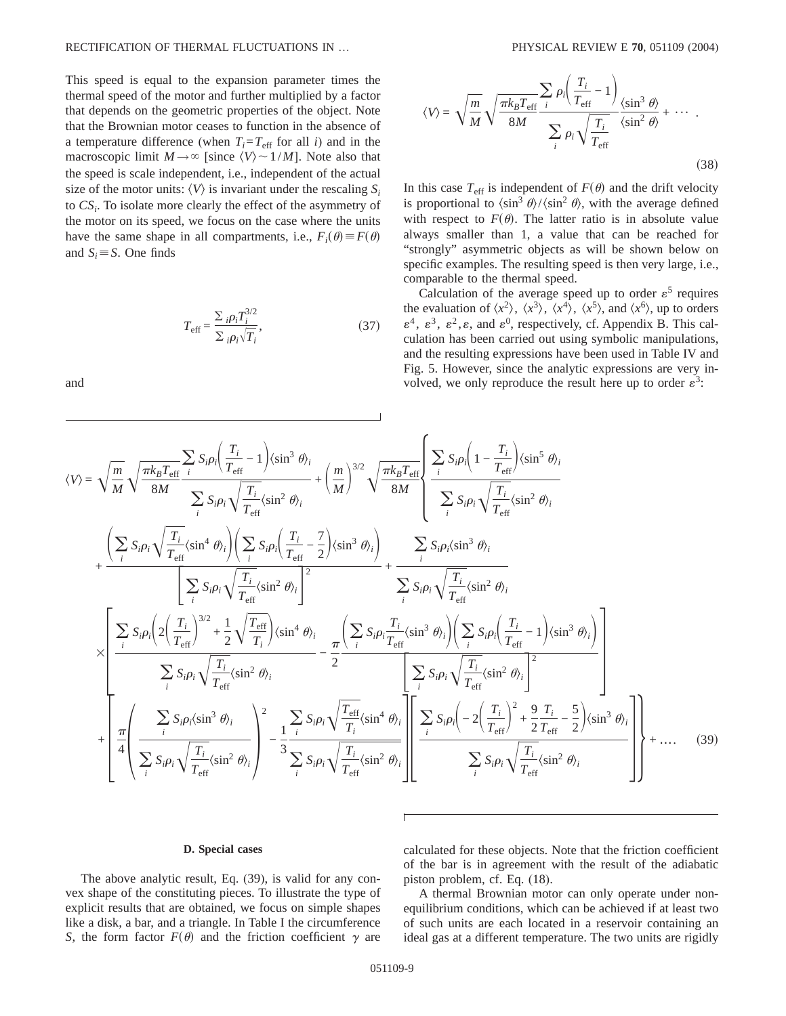This speed is equal to the expansion parameter times the thermal speed of the motor and further multiplied by a factor that depends on the geometric properties of the object. Note that the Brownian motor ceases to function in the absence of a temperature difference (when  $T_i = T_{\text{eff}}$  for all *i*) and in the macroscopic limit  $M \rightarrow \infty$  [since  $\langle V \rangle \sim 1/M$ ]. Note also that the speed is scale independent, i.e., independent of the actual size of the motor units:  $\langle V \rangle$  is invariant under the rescaling  $S_i$ to  $CS_i$ . To isolate more clearly the effect of the asymmetry of the motor on its speed, we focus on the case where the units have the same shape in all compartments, i.e.,  $F_i(\theta) \equiv F(\theta)$ and  $S_i \equiv S$ . One finds

$$
T_{\rm eff} = \frac{\sum_{i} \rho_i T_i^{3/2}}{\sum_{i} \rho_i \sqrt{T_i}},
$$
\n(37)

and

$$
\langle V \rangle = \sqrt{\frac{m}{M}} \sqrt{\frac{\pi k_B T_{\text{eff}}}{8M}} \frac{\sum_{i} \rho_i \left( \frac{T_i}{T_{\text{eff}}} - 1 \right)}{\sum_{i} \rho_i \sqrt{\frac{T_i}{T_{\text{eff}}}} \frac{\langle \sin^3 \theta \rangle}{\langle \sin^2 \theta \rangle} + \cdots
$$
\n(38)

In this case  $T_{\text{eff}}$  is independent of  $F(\theta)$  and the drift velocity is proportional to  $\langle \sin^3 \theta \rangle / \langle \sin^2 \theta \rangle$ , with the average defined with respect to  $F(\theta)$ . The latter ratio is in absolute value always smaller than 1, a value that can be reached for "strongly" asymmetric objects as will be shown below on specific examples. The resulting speed is then very large, i.e., comparable to the thermal speed.

Calculation of the average speed up to order  $\varepsilon^5$  requires the evaluation of  $\langle x^2 \rangle$ ,  $\langle x^3 \rangle$ ,  $\langle x^4 \rangle$ ,  $\langle x^5 \rangle$ , and  $\langle x^6 \rangle$ , up to orders  $\varepsilon^4$ ,  $\varepsilon^3$ ,  $\varepsilon^2$ ,  $\varepsilon$ , and  $\varepsilon^0$ , respectively, cf. Appendix B. This calculation has been carried out using symbolic manipulations, and the resulting expressions have been used in Table IV and Fig. 5. However, since the analytic expressions are very involved, we only reproduce the result here up to order  $\varepsilon^3$ :

$$
\langle V \rangle = \sqrt{\frac{m}{M}} \sqrt{\frac{\pi k_B T_{\text{eff}}}{8M}} \frac{\sum_{i} S_{i} \rho_i \left( \frac{T_i}{T_{\text{eff}}} - 1 \right) \langle \sin^3 \theta \rangle_i}{\sum_{i} S_{i} \rho_i \sqrt{\frac{T_i}{T_{\text{eff}}}} \langle \sin^2 \theta \rangle_i} + \left( \frac{m}{M} \right)^{3/2} \sqrt{\frac{\pi k_B T_{\text{eff}}}{8M}} \frac{\sum_{i} S_{i} \rho_i \left( 1 - \frac{T_i}{T_{\text{eff}}}}{\sum_{i} S_{i} \rho_i \sqrt{\frac{T_i}{T_{\text{eff}}}} \langle \sin^2 \theta \rangle_i} + \frac{\left( \sum_{i} S_{i} \rho_i \sqrt{\frac{T_i}{T_{\text{eff}}}} \langle \sin^2 \theta \rangle_i \right) \left( \sum_{i} S_{i} \rho_i \left( \frac{T_i}{T_{\text{eff}}} - \frac{7}{2} \right) \langle \sin^3 \theta \rangle_i \right)}{\sum_{i} S_{i} \rho_i \sqrt{\frac{T_i}{T_{\text{eff}}}} \langle \sin^2 \theta \rangle_i} + \frac{\sum_{i} S_{i} \rho_i \langle \sin^3 \theta \rangle_i}{\sum_{i} S_{i} \rho_i \sqrt{\frac{T_i}{T_{\text{eff}}}} \langle \sin^2 \theta \rangle_i} + \frac{\sum_{i} S_{i} \rho_i \langle \sin^3 \theta \rangle_i}{\sum_{i} S_{i} \rho_i \sqrt{\frac{T_i}{T_{\text{eff}}}} \langle \sin^2 \theta \rangle_i} - \frac{\sum_{i} S_{i} \rho_i \sqrt{\frac{T_i}{T_{\text{eff}}}} \langle \sin^3 \theta \rangle_i \left( \sum_{i} S_{i} \rho_i \left( \frac{T_i}{T_{\text{eff}}} - 1 \right) \langle \sin^3 \theta \rangle_i \right)}{\sum_{i} S_{i} \rho_i \sqrt{\frac{T_i}{T_{\text{eff}}}} \langle \sin^2 \theta \rangle_i} - \frac{\sum_{i} S_{i} \rho_i \sqrt{\frac{T_i}{T_{\text{eff}}}} \langle \sin^3 \theta \rangle_i \left( \sum_{i} S_{i} \rho_i \left( \frac{T_i}{T_{\text{eff}}} - 1 \right) \langle \sin^3 \theta \rangle_i \right)}{\sum_{i} S_{i} \rho_i \sqrt{\frac{T_i}{T_{\text{eff}}}} \langle \sin^2 \theta \
$$

#### **D. Special cases**

The above analytic result, Eq. (39), is valid for any convex shape of the constituting pieces. To illustrate the type of explicit results that are obtained, we focus on simple shapes like a disk, a bar, and a triangle. In Table I the circumference *S*, the form factor  $F(\theta)$  and the friction coefficient  $\gamma$  are calculated for these objects. Note that the friction coefficient of the bar is in agreement with the result of the adiabatic piston problem, cf. Eq. (18).

A thermal Brownian motor can only operate under nonequilibrium conditions, which can be achieved if at least two of such units are each located in a reservoir containing an ideal gas at a different temperature. The two units are rigidly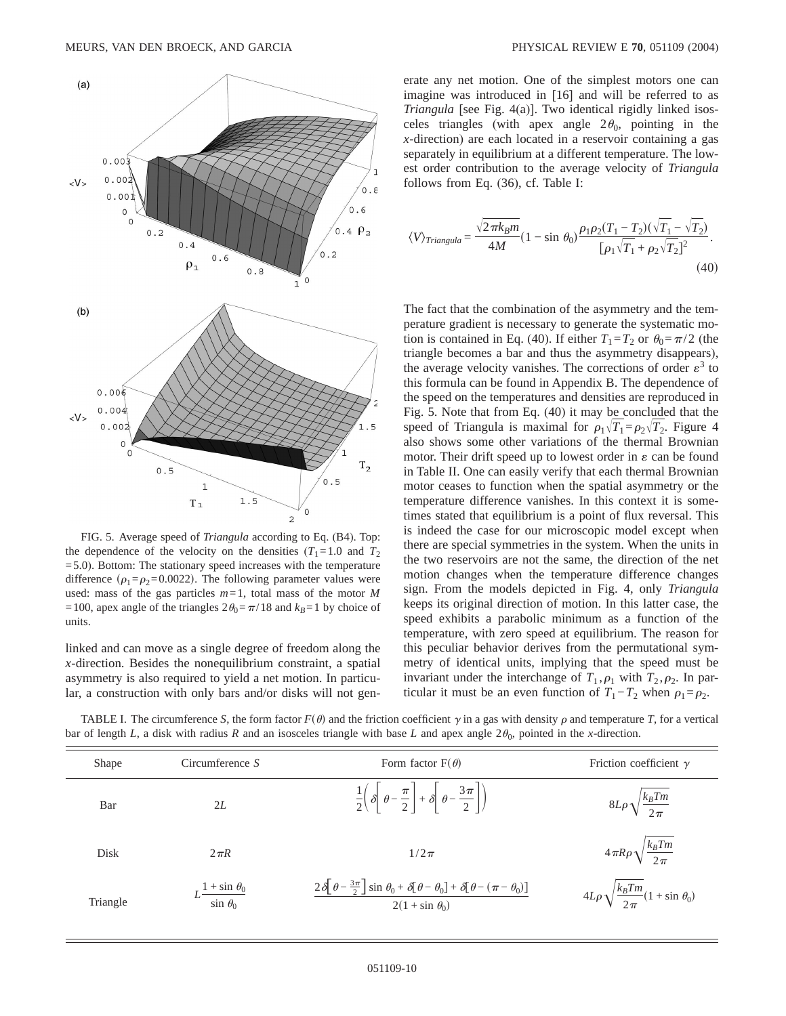

FIG. 5. Average speed of *Triangula* according to Eq. (B4). Top: the dependence of the velocity on the densities  $(T_1=1.0$  and  $T_2$ =5.0). Bottom: The stationary speed increases with the temperature difference ( $\rho_1=\rho_2=0.0022$ ). The following parameter values were used: mass of the gas particles *m*=1, total mass of the motor *M* =100, apex angle of the triangles  $2\theta_0 = \pi/18$  and  $k_B = 1$  by choice of units.

linked and can move as a single degree of freedom along the *x*-direction. Besides the nonequilibrium constraint, a spatial asymmetry is also required to yield a net motion. In particular, a construction with only bars and/or disks will not generate any net motion. One of the simplest motors one can imagine was introduced in [16] and will be referred to as *Triangula* [see Fig. 4(a)]. Two identical rigidly linked isosceles triangles (with apex angle  $2\theta_0$ , pointing in the *x*-direction) are each located in a reservoir containing a gas separately in equilibrium at a different temperature. The lowest order contribution to the average velocity of *Triangula* follows from Eq. (36), cf. Table I:

$$
\langle V \rangle_{Triangular} = \frac{\sqrt{2\pi k_B m}}{4M} (1 - \sin \theta_0) \frac{\rho_1 \rho_2 (T_1 - T_2)(\sqrt{T_1} - \sqrt{T_2})}{[\rho_1 \sqrt{T_1} + \rho_2 \sqrt{T_2}]^2}.
$$
\n(40)

The fact that the combination of the asymmetry and the temperature gradient is necessary to generate the systematic motion is contained in Eq. (40). If either  $T_1 = T_2$  or  $\theta_0 = \pi/2$  (the triangle becomes a bar and thus the asymmetry disappears), the average velocity vanishes. The corrections of order  $\varepsilon^3$  to this formula can be found in Appendix B. The dependence of the speed on the temperatures and densities are reproduced in Fig. 5. Note that from Eq. (40) it may be concluded that the speed of Triangula is maximal for  $\rho_1 \sqrt{T_1} = \rho_2 \sqrt{T_2}$ . Figure 4 also shows some other variations of the thermal Brownian motor. Their drift speed up to lowest order in  $\varepsilon$  can be found in Table II. One can easily verify that each thermal Brownian motor ceases to function when the spatial asymmetry or the temperature difference vanishes. In this context it is sometimes stated that equilibrium is a point of flux reversal. This is indeed the case for our microscopic model except when there are special symmetries in the system. When the units in the two reservoirs are not the same, the direction of the net motion changes when the temperature difference changes sign. From the models depicted in Fig. 4, only *Triangula* keeps its original direction of motion. In this latter case, the speed exhibits a parabolic minimum as a function of the temperature, with zero speed at equilibrium. The reason for this peculiar behavior derives from the permutational symmetry of identical units, implying that the speed must be invariant under the interchange of  $T_1, \rho_1$  with  $T_2, \rho_2$ . In particular it must be an even function of  $T_1 - T_2$  when  $\rho_1 = \rho_2$ .

TABLE I. The circumference *S*, the form factor  $F(\theta)$  and the friction coefficient  $\gamma$  in a gas with density  $\rho$  and temperature *T*, for a vertical bar of length *L*, a disk with radius *R* and an isosceles triangle with base *L* and apex angle  $2\theta_0$ , pointed in the *x*-direction.

| Shape    | Circumference $S$                           | Form factor $F(\theta)$                                                                                                               | Friction coefficient $\gamma$                         |
|----------|---------------------------------------------|---------------------------------------------------------------------------------------------------------------------------------------|-------------------------------------------------------|
| Bar      | 2L                                          | $\frac{1}{2} \left( \delta \left  \theta - \frac{\pi}{2} \right  + \delta \left  \theta - \frac{3\pi}{2} \right  \right)$             | $8L\rho \sqrt{\frac{k_B T m}{2\pi}}$                  |
| Disk     | $2\pi R$                                    | $1/2\pi$                                                                                                                              | $4\pi R\rho \sqrt{\frac{k_B T m}{2\pi}}$              |
| Triangle | $L \frac{1 + \sin \theta_0}{\sin \theta_0}$ | $\frac{2\delta[\theta-\frac{3\pi}{2}]\sin\theta_0+\delta[\theta-\theta_0]+\delta[\theta-(\pi-\theta_0)]}{}$<br>$2(1 + \sin \theta_0)$ | $4L\rho \sqrt{\frac{k_B T m}{2\pi}}(1+\sin \theta_0)$ |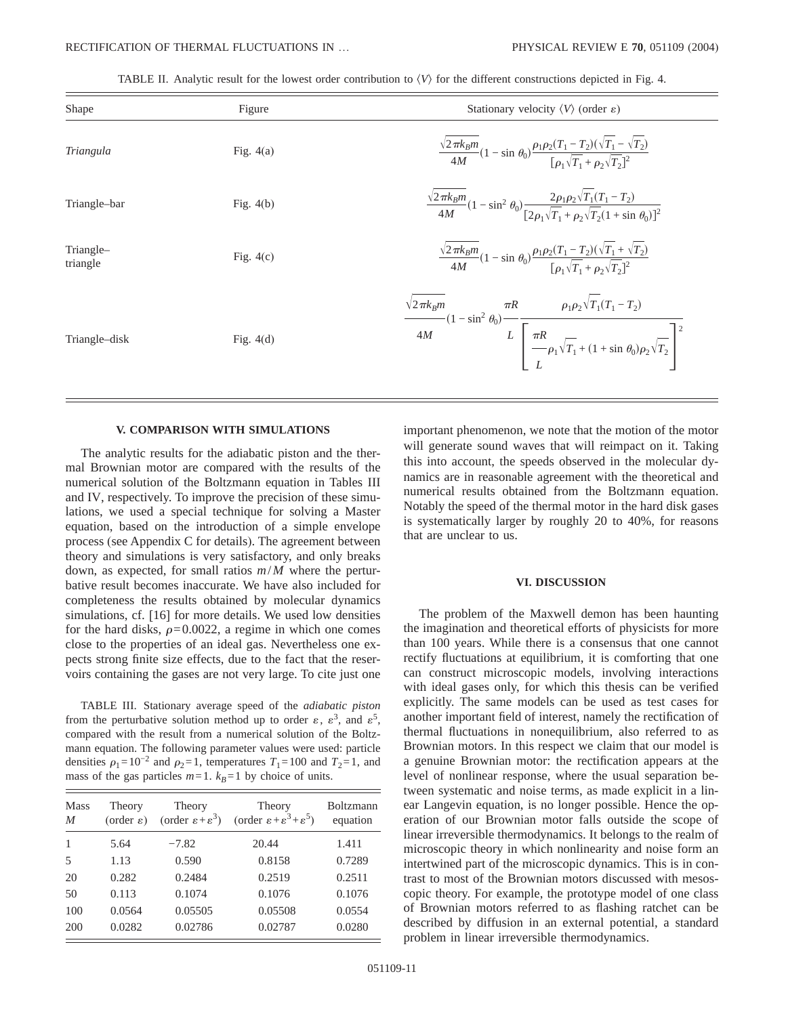TABLE II. Analytic result for the lowest order contribution to  $\langle V \rangle$  for the different constructions depicted in Fig. 4.

| Shape                 | Figure      | Stationary velocity $\langle V \rangle$ (order $\varepsilon$ )                                                                                                                                             |  |
|-----------------------|-------------|------------------------------------------------------------------------------------------------------------------------------------------------------------------------------------------------------------|--|
| Triangula             | Fig. $4(a)$ | $\frac{\sqrt{2\pi k_B m}}{4M}(1-\sin\theta_0)\frac{\rho_1\rho_2(T_1-T_2)(\sqrt{T_1}-\sqrt{T_2})}{[\rho_1\sqrt{T_1}+\rho_2\sqrt{T_2}]^2}$                                                                   |  |
| Triangle-bar          | Fig. $4(b)$ | $\frac{\sqrt{2\pi k_B m}}{4M}(1-\sin^2\theta_0)\frac{2\rho_1\rho_2\sqrt{T_1(T_1-T_2)}}{[2\Omega_0\sqrt{T_1}+\rho_0\sqrt{T_2}(1+\sin\theta_0)]^2}$                                                          |  |
| Triangle-<br>triangle | Fig. $4(c)$ | $\frac{\sqrt{2\pi k_B m}}{4M}(1-\sin\theta_0)\frac{\rho_1\rho_2(T_1-T_2)(\sqrt{T_1}+\sqrt{T_2})}{\sqrt{T_1}+\rho_2\sqrt{T_2}^2}$                                                                           |  |
| Triangle-disk         | Fig. $4(d)$ | $\frac{\sqrt{2\pi k_B m}}{4M} (1 - \sin^2 \theta_0) \frac{\pi R}{L} \frac{\rho_1 \rho_2 \sqrt{T_1} (T_1 - T_2)}{\left[\frac{\pi R}{I} \rho_1 \sqrt{T_1} + (1 + \sin \theta_0) \rho_2 \sqrt{T_2}\right]^2}$ |  |

## **V. COMPARISON WITH SIMULATIONS**

The analytic results for the adiabatic piston and the thermal Brownian motor are compared with the results of the numerical solution of the Boltzmann equation in Tables III and IV, respectively. To improve the precision of these simulations, we used a special technique for solving a Master equation, based on the introduction of a simple envelope process (see Appendix C for details). The agreement between theory and simulations is very satisfactory, and only breaks down, as expected, for small ratios *m*/*M* where the perturbative result becomes inaccurate. We have also included for completeness the results obtained by molecular dynamics simulations, cf. [16] for more details. We used low densities for the hard disks,  $\rho$ =0.0022, a regime in which one comes close to the properties of an ideal gas. Nevertheless one expects strong finite size effects, due to the fact that the reservoirs containing the gases are not very large. To cite just one

TABLE III. Stationary average speed of the *adiabatic piston* from the perturbative solution method up to order  $\varepsilon$ ,  $\varepsilon^3$ , and  $\varepsilon^5$ , compared with the result from a numerical solution of the Boltzmann equation. The following parameter values were used: particle densities  $\rho_1=10^{-2}$  and  $\rho_2=1$ , temperatures  $T_1=100$  and  $T_2=1$ , and mass of the gas particles  $m=1$ .  $k_B=1$  by choice of units.

| <b>Mass</b><br>M | Theory<br>$(order \varepsilon)$ | Theory<br>(order $\varepsilon + \varepsilon^3$ ) | Theory<br>(order $\varepsilon + \varepsilon^3 + \varepsilon^5$ ) | <b>Boltzmann</b><br>equation |
|------------------|---------------------------------|--------------------------------------------------|------------------------------------------------------------------|------------------------------|
| $\mathbf{1}$     | 5.64                            | $-7.82$                                          | 20.44                                                            | 1.411                        |
| .5               | 1.13                            | 0.590                                            | 0.8158                                                           | 0.7289                       |
| 20               | 0.282                           | 0.2484                                           | 0.2519                                                           | 0.2511                       |
| 50               | 0.113                           | 0.1074                                           | 0.1076                                                           | 0.1076                       |
| 100              | 0.0564                          | 0.05505                                          | 0.05508                                                          | 0.0554                       |
| 200              | 0.0282                          | 0.02786                                          | 0.02787                                                          | 0.0280                       |

important phenomenon, we note that the motion of the motor will generate sound waves that will reimpact on it. Taking this into account, the speeds observed in the molecular dynamics are in reasonable agreement with the theoretical and numerical results obtained from the Boltzmann equation. Notably the speed of the thermal motor in the hard disk gases is systematically larger by roughly 20 to 40%, for reasons that are unclear to us.

## **VI. DISCUSSION**

The problem of the Maxwell demon has been haunting the imagination and theoretical efforts of physicists for more than 100 years. While there is a consensus that one cannot rectify fluctuations at equilibrium, it is comforting that one can construct microscopic models, involving interactions with ideal gases only, for which this thesis can be verified explicitly. The same models can be used as test cases for another important field of interest, namely the rectification of thermal fluctuations in nonequilibrium, also referred to as Brownian motors. In this respect we claim that our model is a genuine Brownian motor: the rectification appears at the level of nonlinear response, where the usual separation between systematic and noise terms, as made explicit in a linear Langevin equation, is no longer possible. Hence the operation of our Brownian motor falls outside the scope of linear irreversible thermodynamics. It belongs to the realm of microscopic theory in which nonlinearity and noise form an intertwined part of the microscopic dynamics. This is in contrast to most of the Brownian motors discussed with mesoscopic theory. For example, the prototype model of one class of Brownian motors referred to as flashing ratchet can be described by diffusion in an external potential, a standard problem in linear irreversible thermodynamics.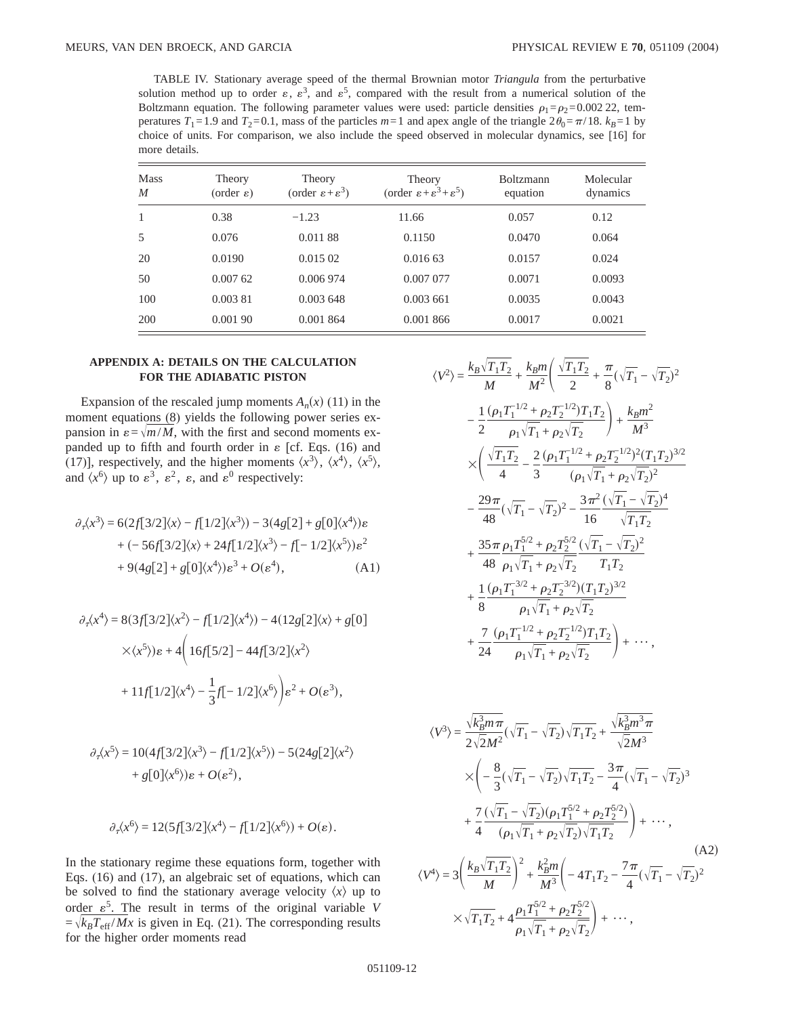TABLE IV. Stationary average speed of the thermal Brownian motor *Triangula* from the perturbative solution method up to order  $\varepsilon$ ,  $\varepsilon^3$ , and  $\varepsilon^5$ , compared with the result from a numerical solution of the Boltzmann equation. The following parameter values were used: particle densities  $\rho_1 = \rho_2 = 0.002$  22, temperatures  $T_1 = 1.9$  and  $T_2 = 0.1$ , mass of the particles  $m=1$  and apex angle of the triangle  $2\theta_0 = \pi/18$ .  $k_B = 1$  by choice of units. For comparison, we also include the speed observed in molecular dynamics, see [16] for more details.

| <b>Mass</b><br>M | Theory<br>$(order \varepsilon)$ | Theory<br>(order $\varepsilon + \varepsilon^3$ ) | Theory<br>(order $\varepsilon + \varepsilon^3 + \varepsilon^5$ ) | <b>Boltzmann</b><br>equation | Molecular<br>dynamics |
|------------------|---------------------------------|--------------------------------------------------|------------------------------------------------------------------|------------------------------|-----------------------|
| 1                | 0.38                            | $-1.23$                                          | 11.66                                                            | 0.057                        | 0.12                  |
| 5                | 0.076                           | 0.01188                                          | 0.1150                                                           | 0.0470                       | 0.064                 |
| 20               | 0.0190                          | 0.01502                                          | 0.01663                                                          | 0.0157                       | 0.024                 |
| 50               | 0.00762                         | 0.006 974                                        | 0.007 077                                                        | 0.0071                       | 0.0093                |
| 100              | 0.003 81                        | 0.003 648                                        | 0.003661                                                         | 0.0035                       | 0.0043                |
| 200              | 0.001 90                        | 0.001 864                                        | 0.001 866                                                        | 0.0017                       | 0.0021                |

 $\langle$ <sup>2</sup>

## **APPENDIX A: DETAILS ON THE CALCULATION FOR THE ADIABATIC PISTON**

Expansion of the rescaled jump moments  $A_n(x)$  (11) in the moment equations (8) yields the following power series expansion in  $\varepsilon = \sqrt{m/M}$ , with the first and second moments expanded up to fifth and fourth order in  $\varepsilon$  [cf. Eqs. (16) and (17)], respectively, and the higher moments  $\langle x^3 \rangle$ ,  $\langle x^4 \rangle$ ,  $\langle x^5 \rangle$ , and  $\langle x^6 \rangle$  up to  $\varepsilon^3$ ,  $\varepsilon^2$ ,  $\varepsilon$ , and  $\varepsilon^0$  respectively:

$$
\partial_{\tau}\langle x^{3}\rangle = 6(2f[3/2]\langle x\rangle - f[1/2]\langle x^{3}\rangle) - 3(4g[2] + g[0]\langle x^{4}\rangle)\varepsilon \n+ (-56f[3/2]\langle x\rangle + 24f[1/2]\langle x^{3}\rangle - f[-1/2]\langle x^{5}\rangle)\varepsilon^{2} \n+ 9(4g[2] + g[0]\langle x^{4}\rangle)\varepsilon^{3} + O(\varepsilon^{4}),
$$
\n(A1)

$$
\partial_{\tau}\langle x^{4}\rangle = 8(3f[3/2]\langle x^{2}\rangle - f[1/2]\langle x^{4}\rangle) - 4(12g[2]\langle x\rangle + g[0])
$$

$$
\times \langle x^{5}\rangle \rangle \varepsilon + 4\left(16f[5/2] - 44f[3/2]\langle x^{2}\rangle + 11f[1/2]\langle x^{4}\rangle - \frac{1}{3}f[-1/2]\langle x^{6}\rangle\right)\varepsilon^{2} + O(\varepsilon^{3}),
$$

$$
\partial_{\tau} \langle x^{5} \rangle = 10(4f[3/2]\langle x^{3} \rangle - f[1/2]\langle x^{5} \rangle) - 5(24g[2]\langle x^{2} \rangle + g[0]\langle x^{6} \rangle) \varepsilon + O(\varepsilon^{2}),
$$

$$
\partial_{\tau} \langle x^6 \rangle = 12(5f[3/2]\langle x^4 \rangle - f[1/2]\langle x^6 \rangle) + O(\varepsilon).
$$

In the stationary regime these equations form, together with Eqs. (16) and (17), an algebraic set of equations, which can be solved to find the stationary average velocity  $\langle x \rangle$  up to order  $\varepsilon^5$ . The result in terms of the original variable *V*  $=\sqrt{k_B T_{\text{eff}}/M}x$  is given in Eq. (21). The corresponding results for the higher order moments read

$$
V^{2}\rangle = \frac{k_{B}\sqrt{T_{1}T_{2}}}{M} + \frac{k_{B}m}{M^{2}}\left(\frac{\sqrt{T_{1}T_{2}}}{2} + \frac{\pi}{8}(\sqrt{T_{1}} - \sqrt{T_{2}})^{2}\right)
$$

$$
-\frac{1}{2}\frac{(\rho_{1}T_{1}^{-1/2} + \rho_{2}T_{2}^{-1/2})T_{1}T_{2}}{\rho_{1}\sqrt{T_{1}} + \rho_{2}\sqrt{T_{2}}}\right) + \frac{k_{B}m^{2}}{M^{3}}
$$

$$
\times \left(\frac{\sqrt{T_{1}T_{2}}}{4} - \frac{2}{3}\frac{(\rho_{1}T_{1}^{-1/2} + \rho_{2}T_{2}^{-1/2})^{2}(T_{1}T_{2})^{3/2}}{(\rho_{1}\sqrt{T_{1}} + \rho_{2}\sqrt{T_{2}})^{2}}\right)
$$

$$
-\frac{29\pi}{48}(\sqrt{T_{1}} - \sqrt{T_{2}})^{2} - \frac{3\pi^{2}}{16}\frac{(\sqrt{T_{1}} - \sqrt{T_{2}})^{4}}{\sqrt{T_{1}T_{2}}}
$$

$$
+\frac{35\pi}{48}\frac{\rho_{1}T_{1}^{5/2} + \rho_{2}T_{2}^{5/2}}{\rho_{1}\sqrt{T_{1}} + \rho_{2}\sqrt{T_{2}}}\frac{T_{1}T_{2}}{T_{1}T_{2}}
$$

$$
+\frac{1}{8}\frac{(\rho_{1}T_{1}^{-3/2} + \rho_{2}T_{2}^{-3/2})(T_{1}T_{2})^{3/2}}{\rho_{1}\sqrt{T_{1}} + \rho_{2}\sqrt{T_{2}}}
$$

$$
+\frac{7}{24}\frac{(\rho_{1}T_{1}^{-1/2} + \rho_{2}T_{2}^{-1/2})T_{1}T_{2}}{\rho_{1}\sqrt{T_{1}} + \rho_{2}\sqrt{T_{2}}}\right) + \cdots,
$$

$$
\langle V^3 \rangle = \frac{\sqrt{k_B^3 m \pi}}{2\sqrt{2}M^2} (\sqrt{T_1} - \sqrt{T_2}) \sqrt{T_1 T_2} + \frac{\sqrt{k_B^3 m^3 \pi}}{\sqrt{2}M^3}
$$
  
\n
$$
\times \left( -\frac{8}{3} (\sqrt{T_1} - \sqrt{T_2}) \sqrt{T_1 T_2} - \frac{3\pi}{4} (\sqrt{T_1} - \sqrt{T_2})^3 + \frac{7(\sqrt{T_1} - \sqrt{T_2})(\rho_1 T_1^{5/2} + \rho_2 T_2^{5/2})}{(\rho_1 \sqrt{T_1} + \rho_2 \sqrt{T_2}) \sqrt{T_1 T_2}} \right) + \cdots,
$$
  
\n
$$
\langle V^4 \rangle = 3 \left( \frac{k_B \sqrt{T_1 T_2}}{M} \right)^2 + \frac{k_B^2 m}{M^3} \left( -4T_1 T_2 - \frac{7\pi}{4} (\sqrt{T_1} - \sqrt{T_2})^2 + \sqrt{T_1 T_2} + 4 \frac{\rho_1 T_1^{5/2} + \rho_2 T_2^{5/2}}{\rho_1 \sqrt{T_1} + \rho_2 \sqrt{T_2}} \right) + \cdots,
$$
  
\n(A2)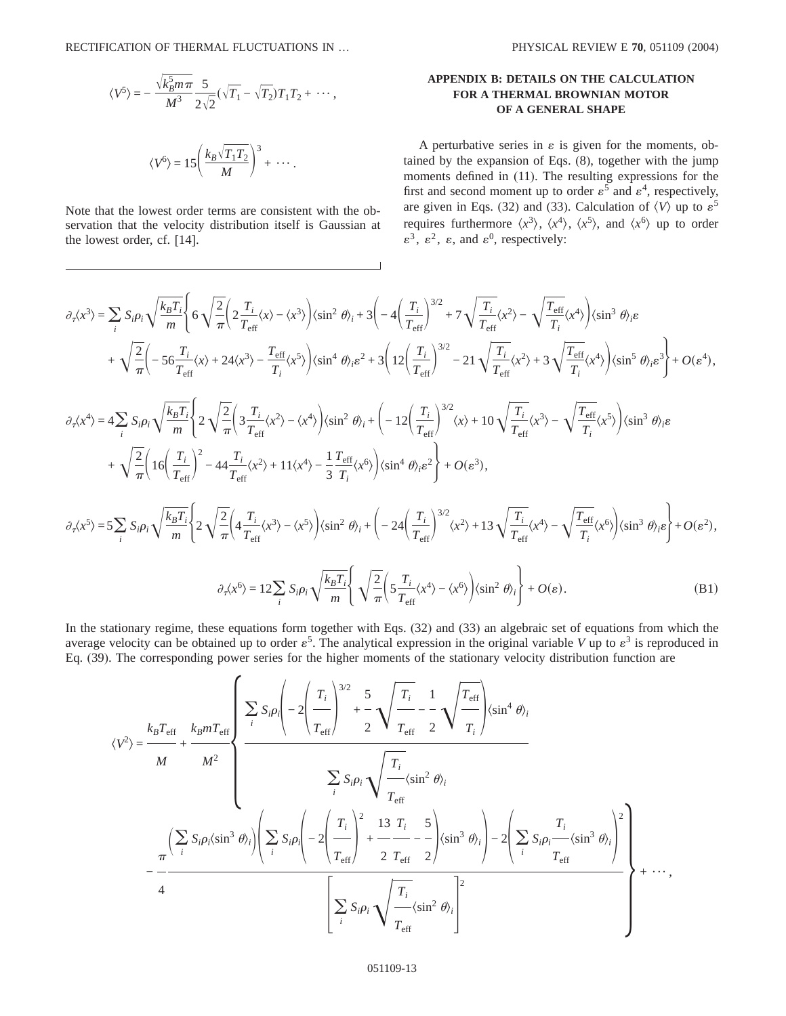$$
\langle V^5 \rangle = -\frac{\sqrt{k_B^5 m \pi}}{M^3} \frac{5}{2\sqrt{2}} (\sqrt{T_1} - \sqrt{T_2}) T_1 T_2 + \cdots,
$$
  

$$
\langle V^6 \rangle = 15 \left( \frac{k_B \sqrt{T_1 T_2}}{M} \right)^3 + \cdots.
$$

Note that the lowest order terms are consistent with the observation that the velocity distribution itself is Gaussian at the lowest order, cf. [14].

# **APPENDIX B: DETAILS ON THE CALCULATION FOR A THERMAL BROWNIAN MOTOR OF A GENERAL SHAPE**

A perturbative series in  $\varepsilon$  is given for the moments, obtained by the expansion of Eqs. (8), together with the jump moments defined in (11). The resulting expressions for the first and second moment up to order  $\varepsilon^5$  and  $\varepsilon^4$ , respectively, are given in Eqs. (32) and (33). Calculation of  $\langle V \rangle$  up to  $\varepsilon^5$ requires furthermore  $\langle x^3 \rangle$ ,  $\langle x^4 \rangle$ ,  $\langle x^5 \rangle$ , and  $\langle x^6 \rangle$  up to order  $\varepsilon^3$ ,  $\varepsilon^2$ ,  $\varepsilon$ , and  $\varepsilon^0$ , respectively:

$$
\partial_{\tau}\langle x^{3}\rangle = \sum_{i} S_{i}\rho_{i} \sqrt{\frac{k_{B}T_{i}}{m}} \Biggl\{ 6\sqrt{\frac{2}{\pi}} \Biggl( 2\frac{T_{i}}{T_{\text{eff}}} \langle x \rangle - \langle x^{3} \rangle \Biggr) \langle \sin^{2}\theta \rangle_{i} + 3 \Biggl( -4\Biggl( \frac{T_{i}}{T_{\text{eff}}} \Biggr)^{3/2} + 7\sqrt{\frac{T_{i}}{T_{\text{eff}}} \langle x^{2} \rangle} - \sqrt{\frac{T_{\text{eff}}}{T_{i}}} \langle x^{4} \rangle \Biggr) \langle \sin^{3}\theta \rangle_{i} \varepsilon + \sqrt{\frac{2}{\pi}} \Biggl( -56\frac{T_{i}}{T_{\text{eff}}} \langle x \rangle + 24 \langle x^{3} \rangle - \frac{T_{\text{eff}}}{T_{i}} \langle x^{5} \rangle \Biggr) \langle \sin^{4}\theta \rangle_{i} \varepsilon^{2} + 3 \Biggl( 12\Biggl( \frac{T_{i}}{T_{\text{eff}}} \Biggr)^{3/2} - 21\sqrt{\frac{T_{i}}{T_{\text{eff}}} \langle x^{2} \rangle + 3\sqrt{\frac{T_{\text{eff}}}{T_{i}}} \langle x^{4} \rangle \Biggr) \langle \sin^{5}\theta \rangle_{i} \varepsilon^{3} \Biggr\} + O(\varepsilon^{4}),
$$

$$
\partial_{\tau} \langle x^{4} \rangle = 4 \sum_{i} S_{i} \rho_{i} \sqrt{\frac{k_{B} T_{i}}{m}} \Bigg\{ 2 \sqrt{\frac{2}{\pi}} \Bigg( 3 \frac{T_{i}}{T_{\text{eff}}} \langle x^{2} \rangle - \langle x^{4} \rangle \Bigg) \langle \sin^{2} \theta \rangle_{i} + \Bigg( -12 \Bigg( \frac{T_{i}}{T_{\text{eff}}} \Bigg)^{3/2} \langle x \rangle + 10 \sqrt{\frac{T_{i}}{T_{\text{eff}}} \langle x^{3} \rangle} - \sqrt{\frac{T_{\text{eff}}}{T_{i}}} \langle x^{5} \rangle \Bigg) \langle \sin^{3} \theta \rangle_{i} \varepsilon + \sqrt{\frac{2}{\pi}} \Bigg( 16 \Bigg( \frac{T_{i}}{T_{\text{eff}}} \Bigg)^{2} - 44 \frac{T_{i}}{T_{\text{eff}}} \langle x^{2} \rangle + 11 \langle x^{4} \rangle - \frac{1}{3} \frac{T_{\text{eff}}}{T_{i}} \langle x^{6} \rangle \Bigg) \langle \sin^{4} \theta \rangle_{i} \varepsilon^{2} \Bigg\} + O(\varepsilon^{3}),
$$

$$
\partial_{\tau}\langle x^{5}\rangle = 5\sum_{i} S_{i}\rho_{i} \sqrt{\frac{k_{B}T_{i}}{m}} \Bigg\{ 2\sqrt{\frac{2}{\pi}} \Big( 4\frac{T_{i}}{T_{\rm eff}} \langle x^{3}\rangle - \langle x^{5}\rangle \Big) \langle \sin^{2}\theta \rangle_{i} + \Bigg( -24\Big(\frac{T_{i}}{T_{\rm eff}}\Big)^{3/2} \langle x^{2}\rangle + 13\sqrt{\frac{T_{i}}{T_{\rm eff}}} \langle x^{4}\rangle - \sqrt{\frac{T_{\rm eff}}{T_{i}}} \langle x^{6}\rangle \Big) \langle \sin^{3}\theta \rangle_{i} \epsilon \Bigg\} + O(\epsilon^{2}),
$$

$$
\partial_{\tau} \langle x^6 \rangle = 12 \sum_{i} S_i \rho_i \sqrt{\frac{k_B T_i}{m}} \left\{ \sqrt{\frac{2}{\pi}} \left( 5 \frac{T_i}{T_{\text{eff}}} \langle x^4 \rangle - \langle x^6 \rangle \right) \langle \sin^2 \theta \rangle_i \right\} + O(\varepsilon). \tag{B1}
$$

In the stationary regime, these equations form together with Eqs. (32) and (33) an algebraic set of equations from which the average velocity can be obtained up to order  $\varepsilon^5$ . The analytical expression in the original variable *V* up to  $\varepsilon^3$  is reproduced in Eq. (39). The corresponding power series for the higher moments of the stationary velocity distribution function are

$$
\langle V^{2} \rangle = \frac{k_{B}T_{\text{eff}}}{M} + \frac{k_{B}mT_{\text{eff}}}{M^{2}} \left\{ \frac{\sum_{i} S_{i}\rho_{i} \left( -2\left(\frac{T_{i}}{T_{\text{eff}}}\right)^{3/2} - \sum_{i} \sqrt{\frac{T_{i}}{T_{\text{eff}}}} - \frac{1}{2} \sqrt{\frac{T_{\text{eff}}}{T_{i}}} \right) \langle \sin^{4} \theta \rangle_{i}}{\sum_{i} S_{i}\rho_{i} \sqrt{\frac{T_{i}}{T_{\text{eff}}}} \langle \sin^{2} \theta \rangle_{i}} - \frac{\left(\sum_{i} S_{i}\rho_{i} \langle \sin^{3} \theta \rangle_{i}\right) \left(\sum_{i} S_{i}\rho_{i} \left(-2\left(\frac{T_{i}}{T_{\text{eff}}}\right)^{2} + \frac{13}{2} \frac{T_{i}}{T_{\text{eff}}} - \frac{5}{2} \right) \langle \sin^{3} \theta \rangle_{i}}{\sum_{i} S_{i}\rho_{i} - \frac{1}{2} \langle \sin^{3} \theta \rangle_{i}} \right)^{2} \left(\sum_{i} S_{i}\rho_{i} \frac{T_{i}}{T_{\text{eff}}}\right)^{2} + \cdots, \left[\sum_{i} S_{i}\rho_{i} \sqrt{\frac{T_{i}}{T_{\text{eff}}}} \langle \sin^{2} \theta \rangle_{i} \right]^{2} + \cdots, \left[\sum_{i} S_{i}\rho_{i} \sqrt{\frac{T_{i}}{T_{\text{eff}}}} \langle \sin^{2} \theta \rangle_{i} \right]^{2} + \cdots
$$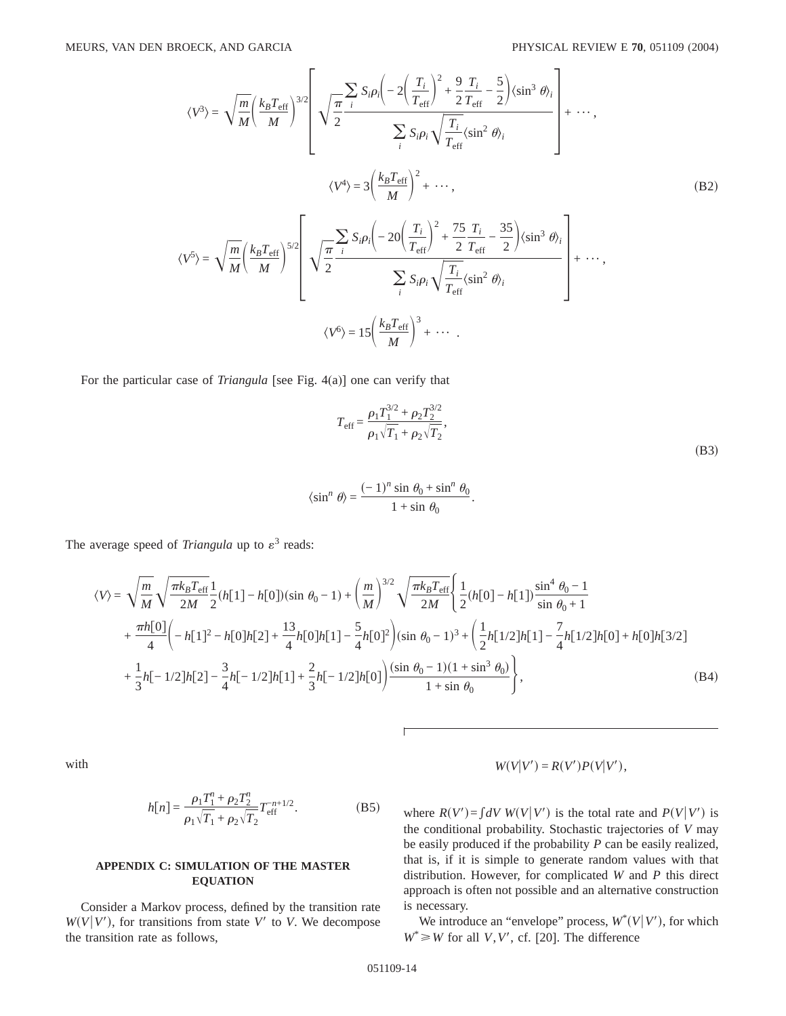$\overline{a}$ 

$$
\langle V^3 \rangle = \sqrt{\frac{m}{M}} \left( \frac{k_B T_{\text{eff}}}{M} \right)^{3/2} \left( \sqrt{\frac{\pi}{2}} \frac{i}{1} \frac{S_i \rho_i \left( -2 \left( \frac{T_i}{T_{\text{eff}}} \right)^2 + \frac{9}{2} \frac{T_i}{T_{\text{eff}}} - \frac{5}{2} \right) \langle \sin^3 \theta \rangle_i}{\sum_i S_i \rho_i \sqrt{\frac{T_i}{T_{\text{eff}}}} \langle \sin^2 \theta \rangle_i} \right) + \cdots ,
$$
\n
$$
\langle V^4 \rangle = 3 \left( \frac{k_B T_{\text{eff}}}{M} \right)^2 + \cdots ,
$$
\n
$$
\langle V^5 \rangle = \sqrt{\frac{m}{M}} \left( \frac{k_B T_{\text{eff}}}{M} \right)^{5/2} \left( \sqrt{\frac{\pi}{2}} \frac{\sum_i S_i \rho_i \left( -20 \left( \frac{T_i}{T_{\text{eff}}} \right)^2 + \frac{75}{2} \frac{T_i}{T_{\text{eff}}} - \frac{35}{2} \right) \langle \sin^3 \theta \rangle_i}{\sum_i S_i \rho_i \sqrt{\frac{T_i}{T_{\text{eff}}}} \langle \sin^2 \theta \rangle_i} \right) + \cdots ,
$$
\n
$$
\langle V^6 \rangle = 15 \left( \frac{k_B T_{\text{eff}}}{M} \right)^3 + \cdots .
$$
\n(B2)

For the particular case of *Triangula* [see Fig. 4(a)] one can verify that

 $\overline{a}$ 

$$
T_{\text{eff}} = \frac{\rho_1 T_1^{3/2} + \rho_2 T_2^{3/2}}{\rho_1 \sqrt{T_1} + \rho_2 \sqrt{T_2}},
$$
\n(B3)

$$
\langle \sin^n \theta \rangle = \frac{(-1)^n \sin \theta_0 + \sin^n \theta_0}{1 + \sin \theta_0}.
$$

The average speed of *Triangula* up to  $\varepsilon^3$  reads:

$$
\langle V \rangle = \sqrt{\frac{m}{M}} \sqrt{\frac{\pi k_B T_{\text{eff}}}{2M}} \frac{1}{2} (h[1] - h[0])(\sin \theta_0 - 1) + \left(\frac{m}{M}\right)^{3/2} \sqrt{\frac{\pi k_B T_{\text{eff}}}{2M}} \left\{ \frac{1}{2} (h[0] - h[1]) \frac{\sin^4 \theta_0 - 1}{\sin \theta_0 + 1} + \frac{\pi h[0]}{4} \left( -h[1]^2 - h[0]h[2] + \frac{13}{4} h[0]h[1] - \frac{5}{4} h[0]^2 \right) (\sin \theta_0 - 1)^3 + \left( \frac{1}{2} h[1/2]h[1] - \frac{7}{4} h[1/2]h[0] + h[0]h[3/2] \right) + \frac{1}{3} h[-1/2]h[2] - \frac{3}{4} h[-1/2]h[1] + \frac{2}{3} h[-1/2]h[0] \left( \frac{\sin \theta_0 - 1}{1 + \sin \theta_0} \right),
$$
\n(B4)

with

$$
h[n] = \frac{\rho_1 T_1^n + \rho_2 T_2^n}{\rho_1 \sqrt{T_1} + \rho_2 \sqrt{T_2}} T_{\text{eff}}^{n+1/2}.
$$
 (B5)

## **APPENDIX C: SIMULATION OF THE MASTER EQUATION**

Consider a Markov process, defined by the transition rate  $W(V|V')$ , for transitions from state *V'* to *V*. We decompose the transition rate as follows,

 $W(V|V') = R(V')P(V|V'),$ 

where  $R(V') = \int dV W(V|V')$  is the total rate and  $P(V|V')$  is the conditional probability. Stochastic trajectories of *V* may be easily produced if the probability *P* can be easily realized, that is, if it is simple to generate random values with that distribution. However, for complicated *W* and *P* this direct approach is often not possible and an alternative construction is necessary.

We introduce an "envelope" process,  $W^*(V|V')$ , for which  $W^* \geq W$  for all *V*, *V'*, cf. [20]. The difference